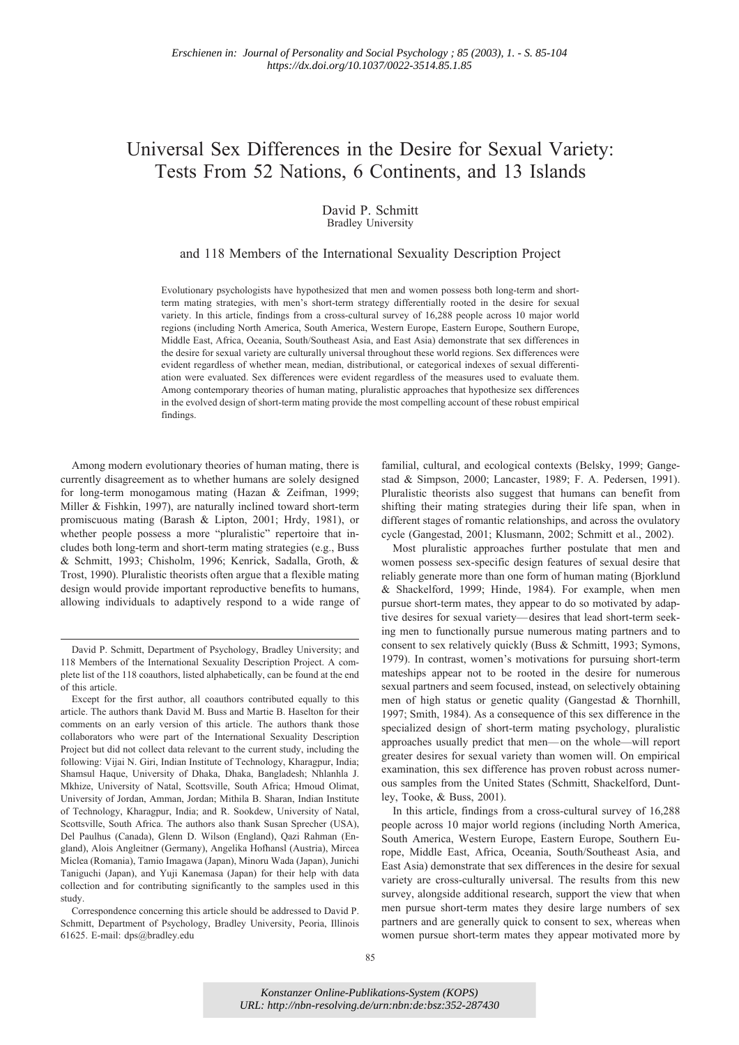# Universal Sex Differences in the Desire for Sexual Variety: Tests From 52 Nations, 6 Continents, and 13 Islands

David P. Schmitt Bradley University

## and 118 Members of the International Sexuality Description Project

Evolutionary psychologists have hypothesized that men and women possess both long-term and shortterm mating strategies, with men's short-term strategy differentially rooted in the desire for sexual variety. In this article, findings from a cross-cultural survey of 16,288 people across 10 major world regions (including North America, South America, Western Europe, Eastern Europe, Southern Europe, Middle East, Africa, Oceania, South/Southeast Asia, and East Asia) demonstrate that sex differences in the desire for sexual variety are culturally universal throughout these world regions. Sex differences were evident regardless of whether mean, median, distributional, or categorical indexes of sexual differentiation were evaluated. Sex differences were evident regardless of the measures used to evaluate them. Among contemporary theories of human mating, pluralistic approaches that hypothesize sex differences in the evolved design of short-term mating provide the most compelling account of these robust empirical findings.

Among modern evolutionary theories of human mating, there is currently disagreement as to whether humans are solely designed for long-term monogamous mating (Hazan & Zeifman, 1999; Miller & Fishkin, 1997), are naturally inclined toward short-term promiscuous mating (Barash & Lipton, 2001; Hrdy, 1981), or whether people possess a more "pluralistic" repertoire that includes both long-term and short-term mating strategies (e.g., Buss & Schmitt, 1993; Chisholm, 1996; Kenrick, Sadalla, Groth, & Trost, 1990). Pluralistic theorists often argue that a flexible mating design would provide important reproductive benefits to humans, allowing individuals to adaptively respond to a wide range of

familial, cultural, and ecological contexts (Belsky, 1999; Gangestad & Simpson, 2000; Lancaster, 1989; F. A. Pedersen, 1991). Pluralistic theorists also suggest that humans can benefit from shifting their mating strategies during their life span, when in different stages of romantic relationships, and across the ovulatory cycle (Gangestad, 2001; Klusmann, 2002; Schmitt et al., 2002).

Most pluralistic approaches further postulate that men and women possess sex-specific design features of sexual desire that reliably generate more than one form of human mating (Bjorklund & Shackelford, 1999; Hinde, 1984). For example, when men pursue short-term mates, they appear to do so motivated by adaptive desires for sexual variety— desires that lead short-term seeking men to functionally pursue numerous mating partners and to consent to sex relatively quickly (Buss & Schmitt, 1993; Symons, 1979). In contrast, women's motivations for pursuing short-term mateships appear not to be rooted in the desire for numerous sexual partners and seem focused, instead, on selectively obtaining men of high status or genetic quality (Gangestad & Thornhill, 1997; Smith, 1984). As a consequence of this sex difference in the specialized design of short-term mating psychology, pluralistic approaches usually predict that men— on the whole—will report greater desires for sexual variety than women will. On empirical examination, this sex difference has proven robust across numerous samples from the United States (Schmitt, Shackelford, Duntley, Tooke, & Buss, 2001).

In this article, findings from a cross-cultural survey of 16,288 people across 10 major world regions (including North America, South America, Western Europe, Eastern Europe, Southern Europe, Middle East, Africa, Oceania, South/Southeast Asia, and East Asia) demonstrate that sex differences in the desire for sexual variety are cross-culturally universal. The results from this new survey, alongside additional research, support the view that when men pursue short-term mates they desire large numbers of sex partners and are generally quick to consent to sex, whereas when women pursue short-term mates they appear motivated more by

David P. Schmitt, Department of Psychology, Bradley University; and 118 Members of the International Sexuality Description Project. A complete list of the 118 coauthors, listed alphabetically, can be found at the end of this article.

Except for the first author, all coauthors contributed equally to this article. The authors thank David M. Buss and Martie B. Haselton for their comments on an early version of this article. The authors thank those collaborators who were part of the International Sexuality Description Project but did not collect data relevant to the current study, including the following: Vijai N. Giri, Indian Institute of Technology, Kharagpur, India; Shamsul Haque, University of Dhaka, Dhaka, Bangladesh; Nhlanhla J. Mkhize, University of Natal, Scottsville, South Africa; Hmoud Olimat, University of Jordan, Amman, Jordan; Mithila B. Sharan, Indian Institute of Technology, Kharagpur, India; and R. Sookdew, University of Natal, Scottsville, South Africa. The authors also thank Susan Sprecher (USA), Del Paulhus (Canada), Glenn D. Wilson (England), Qazi Rahman (England), Alois Angleitner (Germany), Angelika Hofhansl (Austria), Mircea Miclea (Romania), Tamio Imagawa (Japan), Minoru Wada (Japan), Junichi Taniguchi (Japan), and Yuji Kanemasa (Japan) for their help with data collection and for contributing significantly to the samples used in this study.

Correspondence concerning this article should be addressed to David P. Schmitt, Department of Psychology, Bradley University, Peoria, Illinois 61625. E-mail: dps@bradley.edu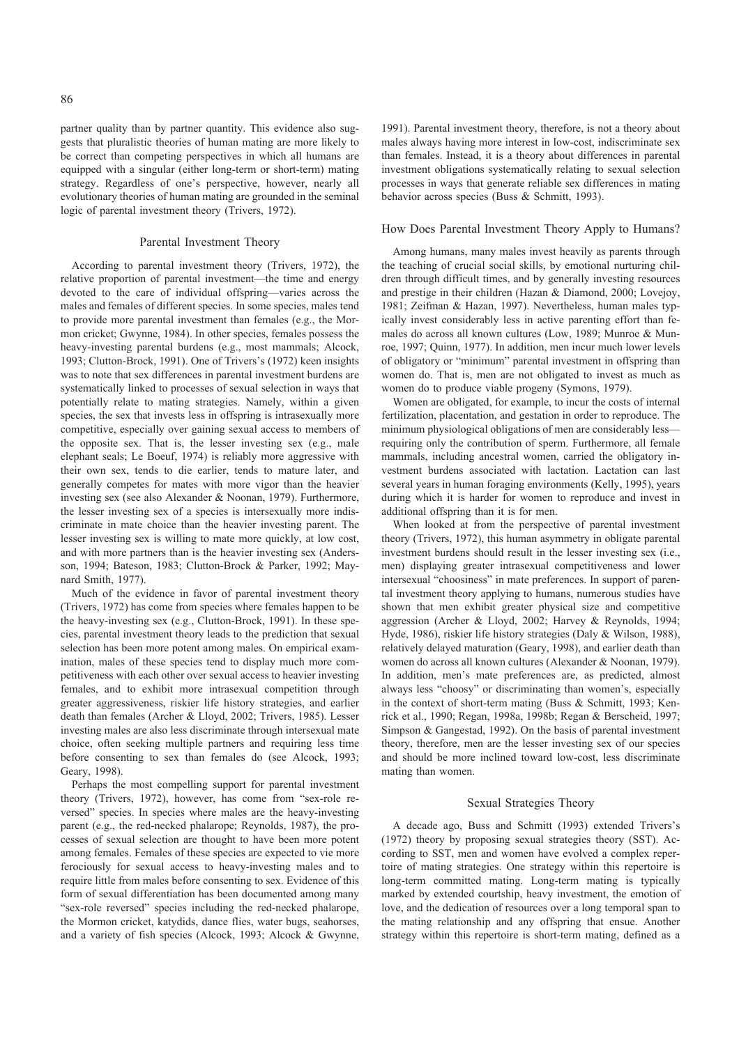partner quality than by partner quantity. This evidence also suggests that pluralistic theories of human mating are more likely to be correct than competing perspectives in which all humans are equipped with a singular (either long-term or short-term) mating strategy. Regardless of one's perspective, however, nearly all evolutionary theories of human mating are grounded in the seminal logic of parental investment theory (Trivers, 1972).

#### Parental Investment Theory

According to parental investment theory (Trivers, 1972), the relative proportion of parental investment—the time and energy devoted to the care of individual offspring—varies across the males and females of different species. In some species, males tend to provide more parental investment than females (e.g., the Mormon cricket; Gwynne, 1984). In other species, females possess the heavy-investing parental burdens (e.g., most mammals; Alcock, 1993; Clutton-Brock, 1991). One of Trivers's (1972) keen insights was to note that sex differences in parental investment burdens are systematically linked to processes of sexual selection in ways that potentially relate to mating strategies. Namely, within a given species, the sex that invests less in offspring is intrasexually more competitive, especially over gaining sexual access to members of the opposite sex. That is, the lesser investing sex (e.g., male elephant seals; Le Boeuf, 1974) is reliably more aggressive with their own sex, tends to die earlier, tends to mature later, and generally competes for mates with more vigor than the heavier investing sex (see also Alexander & Noonan, 1979). Furthermore, the lesser investing sex of a species is intersexually more indiscriminate in mate choice than the heavier investing parent. The lesser investing sex is willing to mate more quickly, at low cost, and with more partners than is the heavier investing sex (Andersson, 1994; Bateson, 1983; Clutton-Brock & Parker, 1992; Maynard Smith, 1977).

Much of the evidence in favor of parental investment theory (Trivers, 1972) has come from species where females happen to be the heavy-investing sex (e.g., Clutton-Brock, 1991). In these species, parental investment theory leads to the prediction that sexual selection has been more potent among males. On empirical examination, males of these species tend to display much more competitiveness with each other over sexual access to heavier investing females, and to exhibit more intrasexual competition through greater aggressiveness, riskier life history strategies, and earlier death than females (Archer & Lloyd, 2002; Trivers, 1985). Lesser investing males are also less discriminate through intersexual mate choice, often seeking multiple partners and requiring less time before consenting to sex than females do (see Alcock, 1993; Geary, 1998).

Perhaps the most compelling support for parental investment theory (Trivers, 1972), however, has come from "sex-role reversed" species. In species where males are the heavy-investing parent (e.g., the red-necked phalarope; Reynolds, 1987), the processes of sexual selection are thought to have been more potent among females. Females of these species are expected to vie more ferociously for sexual access to heavy-investing males and to require little from males before consenting to sex. Evidence of this form of sexual differentiation has been documented among many "sex-role reversed" species including the red-necked phalarope, the Mormon cricket, katydids, dance flies, water bugs, seahorses, and a variety of fish species (Alcock, 1993; Alcock & Gwynne,

1991). Parental investment theory, therefore, is not a theory about males always having more interest in low-cost, indiscriminate sex than females. Instead, it is a theory about differences in parental investment obligations systematically relating to sexual selection processes in ways that generate reliable sex differences in mating behavior across species (Buss & Schmitt, 1993).

#### How Does Parental Investment Theory Apply to Humans?

Among humans, many males invest heavily as parents through the teaching of crucial social skills, by emotional nurturing children through difficult times, and by generally investing resources and prestige in their children (Hazan & Diamond, 2000; Lovejoy, 1981; Zeifman & Hazan, 1997). Nevertheless, human males typically invest considerably less in active parenting effort than females do across all known cultures (Low, 1989; Munroe & Munroe, 1997; Quinn, 1977). In addition, men incur much lower levels of obligatory or "minimum" parental investment in offspring than women do. That is, men are not obligated to invest as much as women do to produce viable progeny (Symons, 1979).

Women are obligated, for example, to incur the costs of internal fertilization, placentation, and gestation in order to reproduce. The minimum physiological obligations of men are considerably less requiring only the contribution of sperm. Furthermore, all female mammals, including ancestral women, carried the obligatory investment burdens associated with lactation. Lactation can last several years in human foraging environments (Kelly, 1995), years during which it is harder for women to reproduce and invest in additional offspring than it is for men.

When looked at from the perspective of parental investment theory (Trivers, 1972), this human asymmetry in obligate parental investment burdens should result in the lesser investing sex (i.e., men) displaying greater intrasexual competitiveness and lower intersexual "choosiness" in mate preferences. In support of parental investment theory applying to humans, numerous studies have shown that men exhibit greater physical size and competitive aggression (Archer & Lloyd, 2002; Harvey & Reynolds, 1994; Hyde, 1986), riskier life history strategies (Daly & Wilson, 1988), relatively delayed maturation (Geary, 1998), and earlier death than women do across all known cultures (Alexander & Noonan, 1979). In addition, men's mate preferences are, as predicted, almost always less "choosy" or discriminating than women's, especially in the context of short-term mating (Buss & Schmitt, 1993; Kenrick et al., 1990; Regan, 1998a, 1998b; Regan & Berscheid, 1997; Simpson & Gangestad, 1992). On the basis of parental investment theory, therefore, men are the lesser investing sex of our species and should be more inclined toward low-cost, less discriminate mating than women.

#### Sexual Strategies Theory

A decade ago, Buss and Schmitt (1993) extended Trivers's (1972) theory by proposing sexual strategies theory (SST). According to SST, men and women have evolved a complex repertoire of mating strategies. One strategy within this repertoire is long-term committed mating. Long-term mating is typically marked by extended courtship, heavy investment, the emotion of love, and the dedication of resources over a long temporal span to the mating relationship and any offspring that ensue. Another strategy within this repertoire is short-term mating, defined as a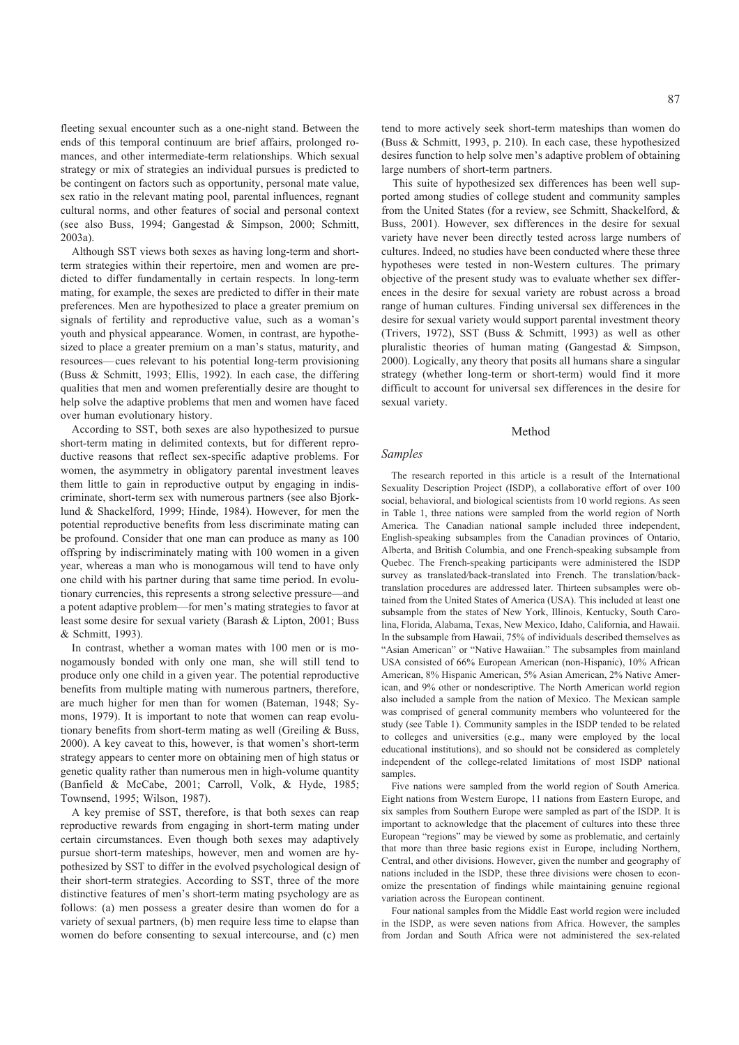fleeting sexual encounter such as a one-night stand. Between the ends of this temporal continuum are brief affairs, prolonged romances, and other intermediate-term relationships. Which sexual strategy or mix of strategies an individual pursues is predicted to be contingent on factors such as opportunity, personal mate value, sex ratio in the relevant mating pool, parental influences, regnant cultural norms, and other features of social and personal context (see also Buss, 1994; Gangestad & Simpson, 2000; Schmitt, 2003a).

Although SST views both sexes as having long-term and shortterm strategies within their repertoire, men and women are predicted to differ fundamentally in certain respects. In long-term mating, for example, the sexes are predicted to differ in their mate preferences. Men are hypothesized to place a greater premium on signals of fertility and reproductive value, such as a woman's youth and physical appearance. Women, in contrast, are hypothesized to place a greater premium on a man's status, maturity, and resources— cues relevant to his potential long-term provisioning (Buss & Schmitt, 1993; Ellis, 1992). In each case, the differing qualities that men and women preferentially desire are thought to help solve the adaptive problems that men and women have faced over human evolutionary history.

According to SST, both sexes are also hypothesized to pursue short-term mating in delimited contexts, but for different reproductive reasons that reflect sex-specific adaptive problems. For women, the asymmetry in obligatory parental investment leaves them little to gain in reproductive output by engaging in indiscriminate, short-term sex with numerous partners (see also Bjorklund & Shackelford, 1999; Hinde, 1984). However, for men the potential reproductive benefits from less discriminate mating can be profound. Consider that one man can produce as many as 100 offspring by indiscriminately mating with 100 women in a given year, whereas a man who is monogamous will tend to have only one child with his partner during that same time period. In evolutionary currencies, this represents a strong selective pressure—and a potent adaptive problem—for men's mating strategies to favor at least some desire for sexual variety (Barash & Lipton, 2001; Buss & Schmitt, 1993).

In contrast, whether a woman mates with 100 men or is monogamously bonded with only one man, she will still tend to produce only one child in a given year. The potential reproductive benefits from multiple mating with numerous partners, therefore, are much higher for men than for women (Bateman, 1948; Symons, 1979). It is important to note that women can reap evolutionary benefits from short-term mating as well (Greiling & Buss, 2000). A key caveat to this, however, is that women's short-term strategy appears to center more on obtaining men of high status or genetic quality rather than numerous men in high-volume quantity (Banfield & McCabe, 2001; Carroll, Volk, & Hyde, 1985; Townsend, 1995; Wilson, 1987).

A key premise of SST, therefore, is that both sexes can reap reproductive rewards from engaging in short-term mating under certain circumstances. Even though both sexes may adaptively pursue short-term mateships, however, men and women are hypothesized by SST to differ in the evolved psychological design of their short-term strategies. According to SST, three of the more distinctive features of men's short-term mating psychology are as follows: (a) men possess a greater desire than women do for a variety of sexual partners, (b) men require less time to elapse than women do before consenting to sexual intercourse, and (c) men

tend to more actively seek short-term mateships than women do (Buss & Schmitt, 1993, p. 210). In each case, these hypothesized desires function to help solve men's adaptive problem of obtaining large numbers of short-term partners.

This suite of hypothesized sex differences has been well supported among studies of college student and community samples from the United States (for a review, see Schmitt, Shackelford, & Buss, 2001). However, sex differences in the desire for sexual variety have never been directly tested across large numbers of cultures. Indeed, no studies have been conducted where these three hypotheses were tested in non-Western cultures. The primary objective of the present study was to evaluate whether sex differences in the desire for sexual variety are robust across a broad range of human cultures. Finding universal sex differences in the desire for sexual variety would support parental investment theory (Trivers, 1972), SST (Buss & Schmitt, 1993) as well as other pluralistic theories of human mating (Gangestad & Simpson, 2000). Logically, any theory that posits all humans share a singular strategy (whether long-term or short-term) would find it more difficult to account for universal sex differences in the desire for sexual variety.

#### Method

# *Samples*

The research reported in this article is a result of the International Sexuality Description Project (ISDP), a collaborative effort of over 100 social, behavioral, and biological scientists from 10 world regions. As seen in Table 1, three nations were sampled from the world region of North America. The Canadian national sample included three independent, English-speaking subsamples from the Canadian provinces of Ontario, Alberta, and British Columbia, and one French-speaking subsample from Quebec. The French-speaking participants were administered the ISDP survey as translated/back-translated into French. The translation/backtranslation procedures are addressed later. Thirteen subsamples were obtained from the United States of America (USA). This included at least one subsample from the states of New York, Illinois, Kentucky, South Carolina, Florida, Alabama, Texas, New Mexico, Idaho, California, and Hawaii. In the subsample from Hawaii, 75% of individuals described themselves as "Asian American" or "Native Hawaiian." The subsamples from mainland USA consisted of 66% European American (non-Hispanic), 10% African American, 8% Hispanic American, 5% Asian American, 2% Native American, and 9% other or nondescriptive. The North American world region also included a sample from the nation of Mexico. The Mexican sample was comprised of general community members who volunteered for the study (see Table 1). Community samples in the ISDP tended to be related to colleges and universities (e.g., many were employed by the local educational institutions), and so should not be considered as completely independent of the college-related limitations of most ISDP national samples.

Five nations were sampled from the world region of South America. Eight nations from Western Europe, 11 nations from Eastern Europe, and six samples from Southern Europe were sampled as part of the ISDP. It is important to acknowledge that the placement of cultures into these three European "regions" may be viewed by some as problematic, and certainly that more than three basic regions exist in Europe, including Northern, Central, and other divisions. However, given the number and geography of nations included in the ISDP, these three divisions were chosen to economize the presentation of findings while maintaining genuine regional variation across the European continent.

Four national samples from the Middle East world region were included in the ISDP, as were seven nations from Africa. However, the samples from Jordan and South Africa were not administered the sex-related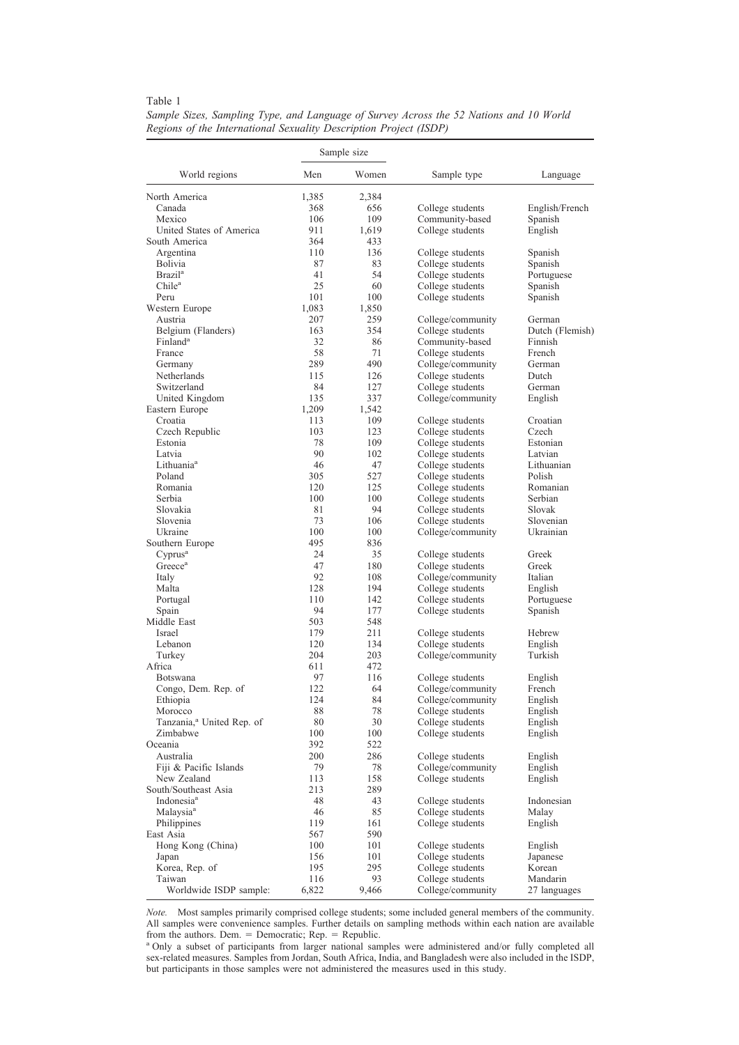# Table 1

|                                            |              | Sample size  |                                     |                           |
|--------------------------------------------|--------------|--------------|-------------------------------------|---------------------------|
| World regions                              | Men          | Women        | Sample type                         | Language                  |
| North America                              | 1,385        | 2,384        |                                     |                           |
| Canada                                     | 368          | 656          | College students                    | English/French            |
| Mexico                                     | 106          | 109          | Community-based                     | Spanish                   |
| United States of America                   | 911          | 1,619        | College students                    | English                   |
| South America                              | 364          | 433          |                                     |                           |
| Argentina                                  | 110          | 136          | College students                    | Spanish                   |
| Bolivia                                    | 87           | 83           | College students                    | Spanish                   |
| <b>Brazil<sup>a</sup></b>                  | 41           | 54           | College students                    | Portuguese                |
| Chile <sup>a</sup>                         | 25           | 60           | College students                    | Spanish                   |
| Peru                                       | 101          | 100          | College students                    | Spanish                   |
| Western Europe<br>Austria                  | 1,083<br>207 | 1,850<br>259 |                                     |                           |
|                                            | 163          | 354          | College/community                   | German<br>Dutch (Flemish) |
| Belgium (Flanders)<br>Finland <sup>a</sup> | 32           | 86           | College students<br>Community-based | Finnish                   |
| France                                     | 58           | 71           | College students                    | French                    |
| Germany                                    | 289          | 490          | College/community                   | German                    |
| Netherlands                                | 115          | 126          | College students                    | Dutch                     |
| Switzerland                                | 84           | 127          | College students                    | German                    |
| United Kingdom                             | 135          | 337          | College/community                   | English                   |
| Eastern Europe                             | 1,209        | 1,542        |                                     |                           |
| Croatia                                    | 113          | 109          | College students                    | Croatian                  |
| Czech Republic                             | 103          | 123          | College students                    | Czech                     |
| Estonia                                    | 78           | 109          | College students                    | Estonian                  |
| Latvia                                     | 90           | 102          | College students                    | Latvian                   |
| Lithuania <sup>a</sup>                     | 46           | 47           | College students                    | Lithuanian                |
| Poland                                     | 305          | 527          | College students                    | Polish                    |
| Romania                                    | 120          | 125          | College students                    | Romanian                  |
| Serbia                                     | 100          | 100          | College students                    | Serbian                   |
| Slovakia                                   | 81           | 94           | College students                    | Slovak                    |
| Slovenia                                   | 73           | 106          | College students                    | Slovenian                 |
| Ukraine                                    | 100          | 100          | College/community                   | Ukrainian                 |
| Southern Europe                            | 495          | 836          |                                     |                           |
| Cyprus <sup>a</sup>                        | 24           | 35           | College students                    | Greek                     |
| Greece <sup>a</sup>                        | 47           | 180          | College students                    | Greek                     |
| Italy                                      | 92           | 108          | College/community                   | Italian                   |
| Malta                                      | 128          | 194          | College students                    | English                   |
| Portugal                                   | 110          | 142          | College students                    | Portuguese                |
| Spain                                      | 94           | 177          | College students                    | Spanish                   |
| Middle East                                | 503          | 548          |                                     |                           |
| Israel                                     | 179<br>120   | 211<br>134   | College students                    | Hebrew                    |
| Lebanon<br>Turkey                          | 204          | 203          | College students                    | English<br>Turkish        |
| Africa                                     | 611          | 472          | College/community                   |                           |
| Botswana                                   | 97           | 116          | College students                    | English                   |
| Congo, Dem. Rep. of                        | 122          | 64           | College/community                   | French                    |
| Ethiopia                                   | 124          | 84           | College/community                   | English                   |
| Morocco                                    | 88           | 78           | College students                    | English                   |
| Tanzania, <sup>a</sup> United Rep. of      | 80           | 30           | College students                    | English                   |
| Zimbabwe                                   | 100          | 100          | College students                    | English                   |
| Oceania                                    | 392          | 522          |                                     |                           |
| Australia                                  | 200          | 286          | College students                    | English                   |
| Fiji & Pacific Islands                     | 79           | 78           | College/community                   | English                   |
| New Zealand                                | 113          | 158          | College students                    | English                   |
| South/Southeast Asia                       | 213          | 289          |                                     |                           |
| Indonesia <sup>a</sup>                     | 48           | 43           | College students                    | Indonesian                |
| Malaysia <sup>a</sup>                      | 46           | 85           | College students                    | Malay                     |
| Philippines                                | 119          | 161          | College students                    | English                   |
| East Asia                                  | 567          | 590          |                                     |                           |
| Hong Kong (China)                          | 100          | 101          | College students                    | English                   |
| Japan                                      | 156          | 101          | College students                    | Japanese                  |
| Korea, Rep. of                             | 195          | 295          | College students                    | Korean                    |
| Taiwan                                     | 116          | 93           | College students                    | Mandarin                  |
| Worldwide ISDP sample:                     | 6,822        | 9,466        | College/community                   | 27 languages              |

*Sample Sizes, Sampling Type, and Language of Survey Across the 52 Nations and 10 World Regions of the International Sexuality Description Project (ISDP)*

*Note.* Most samples primarily comprised college students; some included general members of the community. All samples were convenience samples. Further details on sampling methods within each nation are available from the authors. Dem. = Democratic; Rep. = Republic.

a Only a subset of participants from larger national samples were administered and/or fully completed all sex-related measures. Samples from Jordan, South Africa, India, and Bangladesh were also included in the ISDP, but participants in those samples were not administered the measures used in this study.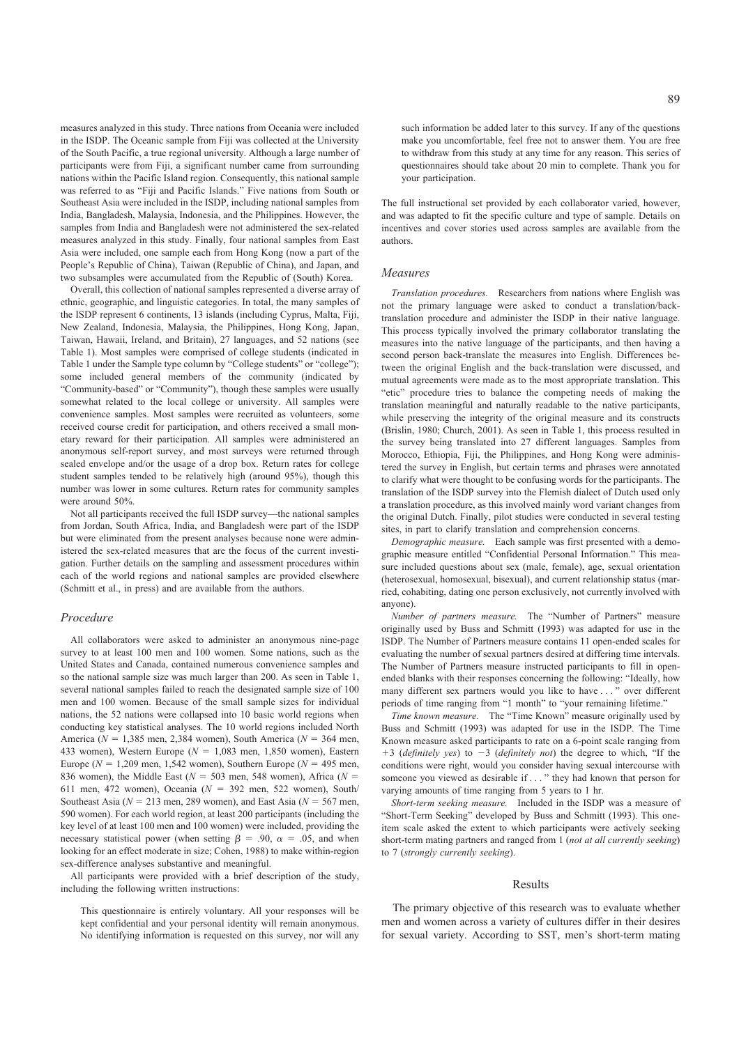measures analyzed in this study. Three nations from Oceania were included in the ISDP. The Oceanic sample from Fiji was collected at the University of the South Pacific, a true regional university. Although a large number of participants were from Fiji, a significant number came from surrounding nations within the Pacific Island region. Consequently, this national sample was referred to as "Fiji and Pacific Islands." Five nations from South or Southeast Asia were included in the ISDP, including national samples from India, Bangladesh, Malaysia, Indonesia, and the Philippines. However, the samples from India and Bangladesh were not administered the sex-related measures analyzed in this study. Finally, four national samples from East Asia were included, one sample each from Hong Kong (now a part of the People's Republic of China), Taiwan (Republic of China), and Japan, and two subsamples were accumulated from the Republic of (South) Korea.

Overall, this collection of national samples represented a diverse array of ethnic, geographic, and linguistic categories. In total, the many samples of the ISDP represent 6 continents, 13 islands (including Cyprus, Malta, Fiji, New Zealand, Indonesia, Malaysia, the Philippines, Hong Kong, Japan, Taiwan, Hawaii, Ireland, and Britain), 27 languages, and 52 nations (see Table 1). Most samples were comprised of college students (indicated in Table 1 under the Sample type column by "College students" or "college"); some included general members of the community (indicated by "Community-based" or "Community"), though these samples were usually somewhat related to the local college or university. All samples were convenience samples. Most samples were recruited as volunteers, some received course credit for participation, and others received a small monetary reward for their participation. All samples were administered an anonymous self-report survey, and most surveys were returned through sealed envelope and/or the usage of a drop box. Return rates for college student samples tended to be relatively high (around 95%), though this number was lower in some cultures. Return rates for community samples were around 50%.

Not all participants received the full ISDP survey—the national samples from Jordan, South Africa, India, and Bangladesh were part of the ISDP but were eliminated from the present analyses because none were administered the sex-related measures that are the focus of the current investigation. Further details on the sampling and assessment procedures within each of the world regions and national samples are provided elsewhere (Schmitt et al., in press) and are available from the authors.

## *Procedure*

All collaborators were asked to administer an anonymous nine-page survey to at least 100 men and 100 women. Some nations, such as the United States and Canada, contained numerous convenience samples and so the national sample size was much larger than 200. As seen in Table 1, several national samples failed to reach the designated sample size of 100 men and 100 women. Because of the small sample sizes for individual nations, the 52 nations were collapsed into 10 basic world regions when conducting key statistical analyses. The 10 world regions included North America ( $N = 1,385$  men, 2,384 women), South America ( $N = 364$  men, 433 women), Western Europe ( $N = 1,083$  men, 1,850 women), Eastern Europe ( $N = 1,209$  men, 1,542 women), Southern Europe ( $N = 495$  men, 836 women), the Middle East ( $N = 503$  men, 548 women), Africa ( $N =$ 611 men, 472 women), Oceania ( $N = 392$  men, 522 women), South/ Southeast Asia ( $N = 213$  men, 289 women), and East Asia ( $N = 567$  men, 590 women). For each world region, at least 200 participants (including the key level of at least 100 men and 100 women) were included, providing the necessary statistical power (when setting  $\beta$  = .90,  $\alpha$  = .05, and when looking for an effect moderate in size; Cohen, 1988) to make within-region sex-difference analyses substantive and meaningful.

All participants were provided with a brief description of the study, including the following written instructions:

This questionnaire is entirely voluntary. All your responses will be kept confidential and your personal identity will remain anonymous. No identifying information is requested on this survey, nor will any such information be added later to this survey. If any of the questions make you uncomfortable, feel free not to answer them. You are free to withdraw from this study at any time for any reason. This series of questionnaires should take about 20 min to complete. Thank you for your participation.

The full instructional set provided by each collaborator varied, however, and was adapted to fit the specific culture and type of sample. Details on incentives and cover stories used across samples are available from the authors.

#### *Measures*

*Translation procedures.* Researchers from nations where English was not the primary language were asked to conduct a translation/backtranslation procedure and administer the ISDP in their native language. This process typically involved the primary collaborator translating the measures into the native language of the participants, and then having a second person back-translate the measures into English. Differences between the original English and the back-translation were discussed, and mutual agreements were made as to the most appropriate translation. This "etic" procedure tries to balance the competing needs of making the translation meaningful and naturally readable to the native participants, while preserving the integrity of the original measure and its constructs (Brislin, 1980; Church, 2001). As seen in Table 1, this process resulted in the survey being translated into 27 different languages. Samples from Morocco, Ethiopia, Fiji, the Philippines, and Hong Kong were administered the survey in English, but certain terms and phrases were annotated to clarify what were thought to be confusing words for the participants. The translation of the ISDP survey into the Flemish dialect of Dutch used only a translation procedure, as this involved mainly word variant changes from the original Dutch. Finally, pilot studies were conducted in several testing sites, in part to clarify translation and comprehension concerns.

*Demographic measure.* Each sample was first presented with a demographic measure entitled "Confidential Personal Information." This measure included questions about sex (male, female), age, sexual orientation (heterosexual, homosexual, bisexual), and current relationship status (married, cohabiting, dating one person exclusively, not currently involved with anyone).

*Number of partners measure.* The "Number of Partners" measure originally used by Buss and Schmitt (1993) was adapted for use in the ISDP. The Number of Partners measure contains 11 open-ended scales for evaluating the number of sexual partners desired at differing time intervals. The Number of Partners measure instructed participants to fill in openended blanks with their responses concerning the following: "Ideally, how many different sex partners would you like to have . . . " over different periods of time ranging from "1 month" to "your remaining lifetime."

*Time known measure.* The "Time Known" measure originally used by Buss and Schmitt (1993) was adapted for use in the ISDP. The Time Known measure asked participants to rate on a 6-point scale ranging from  $+3$  (*definitely yes*) to  $-3$  (*definitely not*) the degree to which, "If the conditions were right, would you consider having sexual intercourse with someone you viewed as desirable if . . . " they had known that person for varying amounts of time ranging from 5 years to 1 hr.

*Short-term seeking measure.* Included in the ISDP was a measure of "Short-Term Seeking" developed by Buss and Schmitt (1993). This oneitem scale asked the extent to which participants were actively seeking short-term mating partners and ranged from 1 (*not at all currently seeking*) to 7 (*strongly currently seeking*).

#### Results

The primary objective of this research was to evaluate whether men and women across a variety of cultures differ in their desires for sexual variety. According to SST, men's short-term mating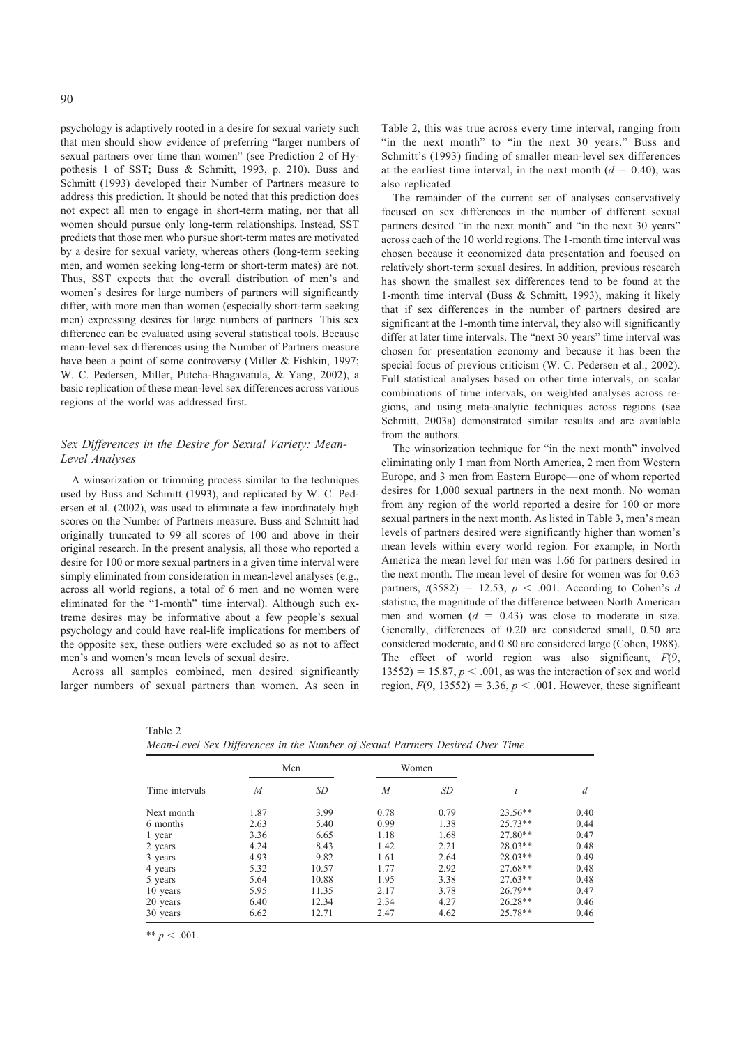psychology is adaptively rooted in a desire for sexual variety such that men should show evidence of preferring "larger numbers of sexual partners over time than women" (see Prediction 2 of Hypothesis 1 of SST; Buss & Schmitt, 1993, p. 210). Buss and Schmitt (1993) developed their Number of Partners measure to address this prediction. It should be noted that this prediction does not expect all men to engage in short-term mating, nor that all women should pursue only long-term relationships. Instead, SST predicts that those men who pursue short-term mates are motivated by a desire for sexual variety, whereas others (long-term seeking men, and women seeking long-term or short-term mates) are not. Thus, SST expects that the overall distribution of men's and women's desires for large numbers of partners will significantly differ, with more men than women (especially short-term seeking men) expressing desires for large numbers of partners. This sex difference can be evaluated using several statistical tools. Because mean-level sex differences using the Number of Partners measure have been a point of some controversy (Miller & Fishkin, 1997; W. C. Pedersen, Miller, Putcha-Bhagavatula, & Yang, 2002), a basic replication of these mean-level sex differences across various regions of the world was addressed first.

# *Sex Differences in the Desire for Sexual Variety: Mean-Level Analyses*

A winsorization or trimming process similar to the techniques used by Buss and Schmitt (1993), and replicated by W. C. Pedersen et al. (2002), was used to eliminate a few inordinately high scores on the Number of Partners measure. Buss and Schmitt had originally truncated to 99 all scores of 100 and above in their original research. In the present analysis, all those who reported a desire for 100 or more sexual partners in a given time interval were simply eliminated from consideration in mean-level analyses (e.g., across all world regions, a total of 6 men and no women were eliminated for the "1-month" time interval). Although such extreme desires may be informative about a few people's sexual psychology and could have real-life implications for members of the opposite sex, these outliers were excluded so as not to affect men's and women's mean levels of sexual desire.

Across all samples combined, men desired significantly larger numbers of sexual partners than women. As seen in Table 2, this was true across every time interval, ranging from "in the next month" to "in the next 30 years." Buss and Schmitt's (1993) finding of smaller mean-level sex differences at the earliest time interval, in the next month  $(d = 0.40)$ , was also replicated.

The remainder of the current set of analyses conservatively focused on sex differences in the number of different sexual partners desired "in the next month" and "in the next 30 years" across each of the 10 world regions. The 1-month time interval was chosen because it economized data presentation and focused on relatively short-term sexual desires. In addition, previous research has shown the smallest sex differences tend to be found at the 1-month time interval (Buss & Schmitt, 1993), making it likely that if sex differences in the number of partners desired are significant at the 1-month time interval, they also will significantly differ at later time intervals. The "next 30 years" time interval was chosen for presentation economy and because it has been the special focus of previous criticism (W. C. Pedersen et al., 2002). Full statistical analyses based on other time intervals, on scalar combinations of time intervals, on weighted analyses across regions, and using meta-analytic techniques across regions (see Schmitt, 2003a) demonstrated similar results and are available from the authors.

The winsorization technique for "in the next month" involved eliminating only 1 man from North America, 2 men from Western Europe, and 3 men from Eastern Europe— one of whom reported desires for 1,000 sexual partners in the next month. No woman from any region of the world reported a desire for 100 or more sexual partners in the next month. As listed in Table 3, men's mean levels of partners desired were significantly higher than women's mean levels within every world region. For example, in North America the mean level for men was 1.66 for partners desired in the next month. The mean level of desire for women was for 0.63 partners,  $t(3582) = 12.53$ ,  $p < .001$ . According to Cohen's *d* statistic, the magnitude of the difference between North American men and women  $(d = 0.43)$  was close to moderate in size. Generally, differences of 0.20 are considered small, 0.50 are considered moderate, and 0.80 are considered large (Cohen, 1988). The effect of world region was also significant, *F*(9,  $13552$ ) = 15.87,  $p < .001$ , as was the interaction of sex and world region,  $F(9, 13552) = 3.36, p < .001$ . However, these significant

| Time intervals |      | Men   |                  | Women |           |      |
|----------------|------|-------|------------------|-------|-----------|------|
|                | M    | SD    | $\boldsymbol{M}$ | SD    |           | d    |
| Next month     | 1.87 | 3.99  | 0.78             | 0.79  | $23.56**$ | 0.40 |
| 6 months       | 2.63 | 5.40  | 0.99             | 1.38  | $25.73**$ | 0.44 |
| 1 year         | 3.36 | 6.65  | 1.18             | 1.68  | $27.80**$ | 0.47 |
| 2 years        | 4.24 | 8.43  | 1.42             | 2.21  | $28.03**$ | 0.48 |
| 3 years        | 4.93 | 9.82  | 1.61             | 2.64  | $28.03**$ | 0.49 |
| 4 years        | 5.32 | 10.57 | 1.77             | 2.92  | $27.68**$ | 0.48 |
| 5 years        | 5.64 | 10.88 | 1.95             | 3.38  | $27.63**$ | 0.48 |
| 10 years       | 5.95 | 11.35 | 2.17             | 3.78  | $26.79**$ | 0.47 |
| 20 years       | 6.40 | 12.34 | 2.34             | 4.27  | $26.28**$ | 0.46 |
| 30 years       | 6.62 | 12.71 | 2.47             | 4.62  | 25.78**   | 0.46 |

*Mean-Level Sex Differences in the Number of Sexual Partners Desired Over Time*

\*\*  $p < .001$ .

Table 2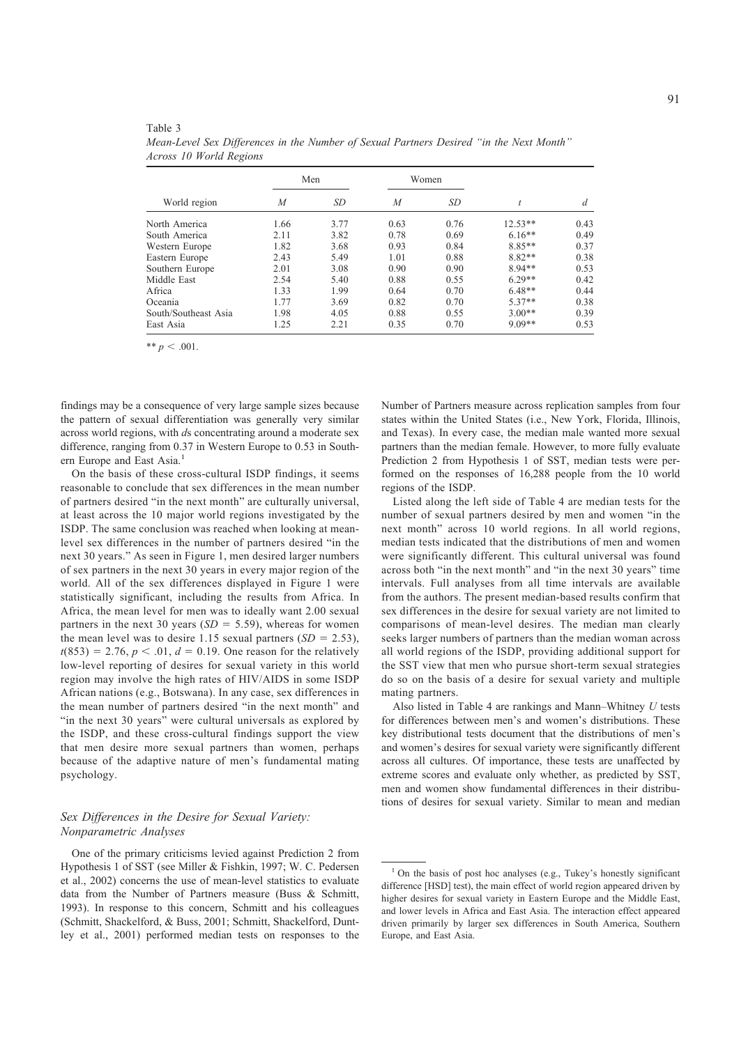| World region         | Men            |           |      | Women |                  |      |
|----------------------|----------------|-----------|------|-------|------------------|------|
|                      | $\overline{M}$ | <b>SD</b> | M    | SD    | $\boldsymbol{t}$ | d    |
| North America        | 1.66           | 3.77      | 0.63 | 0.76  | $12.53**$        | 0.43 |
| South America        | 2.11           | 3.82      | 0.78 | 0.69  | $6.16**$         | 0.49 |
| Western Europe       | 1.82           | 3.68      | 0.93 | 0.84  | 8.85**           | 0.37 |
| Eastern Europe       | 2.43           | 5.49      | 1.01 | 0.88  | 8.82**           | 0.38 |
| Southern Europe      | 2.01           | 3.08      | 0.90 | 0.90  | 8.94**           | 0.53 |
| Middle East          | 2.54           | 5.40      | 0.88 | 0.55  | $6.29**$         | 0.42 |
| Africa               | 1.33           | 1.99      | 0.64 | 0.70  | $6.48**$         | 0.44 |
| Oceania              | 1.77           | 3.69      | 0.82 | 0.70  | $5.37**$         | 0.38 |
| South/Southeast Asia | 1.98           | 4.05      | 0.88 | 0.55  | $3.00**$         | 0.39 |
| East Asia            | 1.25           | 2.21      | 0.35 | 0.70  | $9.09**$         | 0.53 |

*Mean-Level Sex Differences in the Number of Sexual Partners Desired "in the Next Month" Across 10 World Regions*

\*\*  $p < .001$ .

Table 3

findings may be a consequence of very large sample sizes because the pattern of sexual differentiation was generally very similar across world regions, with *d*s concentrating around a moderate sex difference, ranging from 0.37 in Western Europe to 0.53 in Southern Europe and East Asia.<sup>1</sup>

On the basis of these cross-cultural ISDP findings, it seems reasonable to conclude that sex differences in the mean number of partners desired "in the next month" are culturally universal, at least across the 10 major world regions investigated by the ISDP. The same conclusion was reached when looking at meanlevel sex differences in the number of partners desired "in the next 30 years." As seen in Figure 1, men desired larger numbers of sex partners in the next 30 years in every major region of the world. All of the sex differences displayed in Figure 1 were statistically significant, including the results from Africa. In Africa, the mean level for men was to ideally want 2.00 sexual partners in the next 30 years  $(SD = 5.59)$ , whereas for women the mean level was to desire 1.15 sexual partners  $(SD = 2.53)$ ,  $t(853) = 2.76$ ,  $p < .01$ ,  $d = 0.19$ . One reason for the relatively low-level reporting of desires for sexual variety in this world region may involve the high rates of HIV/AIDS in some ISDP African nations (e.g., Botswana). In any case, sex differences in the mean number of partners desired "in the next month" and "in the next 30 years" were cultural universals as explored by the ISDP, and these cross-cultural findings support the view that men desire more sexual partners than women, perhaps because of the adaptive nature of men's fundamental mating psychology.

# *Sex Differences in the Desire for Sexual Variety: Nonparametric Analyses*

One of the primary criticisms levied against Prediction 2 from Hypothesis 1 of SST (see Miller & Fishkin, 1997; W. C. Pedersen et al., 2002) concerns the use of mean-level statistics to evaluate data from the Number of Partners measure (Buss & Schmitt, 1993). In response to this concern, Schmitt and his colleagues (Schmitt, Shackelford, & Buss, 2001; Schmitt, Shackelford, Duntley et al., 2001) performed median tests on responses to the

Number of Partners measure across replication samples from four states within the United States (i.e., New York, Florida, Illinois, and Texas). In every case, the median male wanted more sexual partners than the median female. However, to more fully evaluate Prediction 2 from Hypothesis 1 of SST, median tests were performed on the responses of 16,288 people from the 10 world regions of the ISDP.

Listed along the left side of Table 4 are median tests for the number of sexual partners desired by men and women "in the next month" across 10 world regions. In all world regions, median tests indicated that the distributions of men and women were significantly different. This cultural universal was found across both "in the next month" and "in the next 30 years" time intervals. Full analyses from all time intervals are available from the authors. The present median-based results confirm that sex differences in the desire for sexual variety are not limited to comparisons of mean-level desires. The median man clearly seeks larger numbers of partners than the median woman across all world regions of the ISDP, providing additional support for the SST view that men who pursue short-term sexual strategies do so on the basis of a desire for sexual variety and multiple mating partners.

Also listed in Table 4 are rankings and Mann–Whitney *U* tests for differences between men's and women's distributions. These key distributional tests document that the distributions of men's and women's desires for sexual variety were significantly different across all cultures. Of importance, these tests are unaffected by extreme scores and evaluate only whether, as predicted by SST, men and women show fundamental differences in their distributions of desires for sexual variety. Similar to mean and median

<sup>&</sup>lt;sup>1</sup> On the basis of post hoc analyses (e.g., Tukey's honestly significant difference [HSD] test), the main effect of world region appeared driven by higher desires for sexual variety in Eastern Europe and the Middle East, and lower levels in Africa and East Asia. The interaction effect appeared driven primarily by larger sex differences in South America, Southern Europe, and East Asia.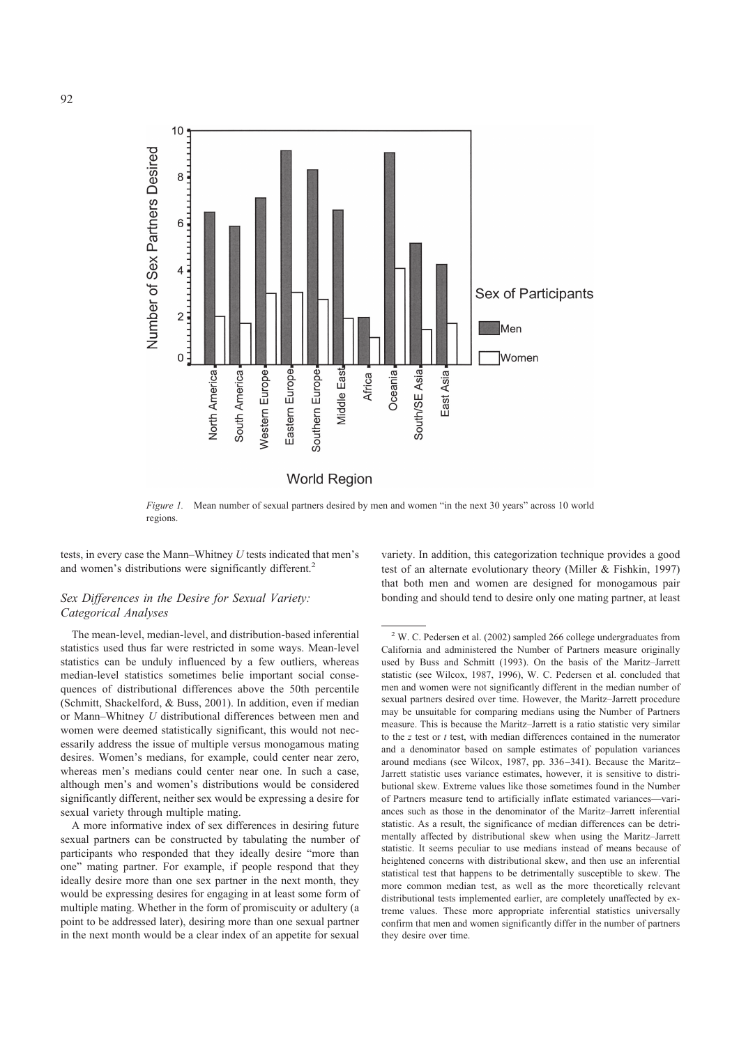

*Figure 1.* Mean number of sexual partners desired by men and women "in the next 30 years" across 10 world regions.

tests, in every case the Mann–Whitney *U* tests indicated that men's and women's distributions were significantly different.<sup>2</sup>

## *Sex Differences in the Desire for Sexual Variety: Categorical Analyses*

The mean-level, median-level, and distribution-based inferential statistics used thus far were restricted in some ways. Mean-level statistics can be unduly influenced by a few outliers, whereas median-level statistics sometimes belie important social consequences of distributional differences above the 50th percentile (Schmitt, Shackelford, & Buss, 2001). In addition, even if median or Mann–Whitney *U* distributional differences between men and women were deemed statistically significant, this would not necessarily address the issue of multiple versus monogamous mating desires. Women's medians, for example, could center near zero, whereas men's medians could center near one. In such a case, although men's and women's distributions would be considered significantly different, neither sex would be expressing a desire for sexual variety through multiple mating.

A more informative index of sex differences in desiring future sexual partners can be constructed by tabulating the number of participants who responded that they ideally desire "more than one" mating partner. For example, if people respond that they ideally desire more than one sex partner in the next month, they would be expressing desires for engaging in at least some form of multiple mating. Whether in the form of promiscuity or adultery (a point to be addressed later), desiring more than one sexual partner in the next month would be a clear index of an appetite for sexual variety. In addition, this categorization technique provides a good test of an alternate evolutionary theory (Miller & Fishkin, 1997) that both men and women are designed for monogamous pair bonding and should tend to desire only one mating partner, at least

<sup>&</sup>lt;sup>2</sup> W. C. Pedersen et al. (2002) sampled 266 college undergraduates from California and administered the Number of Partners measure originally used by Buss and Schmitt (1993). On the basis of the Maritz–Jarrett statistic (see Wilcox, 1987, 1996), W. C. Pedersen et al. concluded that men and women were not significantly different in the median number of sexual partners desired over time. However, the Maritz–Jarrett procedure may be unsuitable for comparing medians using the Number of Partners measure. This is because the Maritz–Jarrett is a ratio statistic very similar to the *z* test or *t* test, with median differences contained in the numerator and a denominator based on sample estimates of population variances around medians (see Wilcox, 1987, pp. 336 –341). Because the Maritz– Jarrett statistic uses variance estimates, however, it is sensitive to distributional skew. Extreme values like those sometimes found in the Number of Partners measure tend to artificially inflate estimated variances—variances such as those in the denominator of the Maritz–Jarrett inferential statistic. As a result, the significance of median differences can be detrimentally affected by distributional skew when using the Maritz–Jarrett statistic. It seems peculiar to use medians instead of means because of heightened concerns with distributional skew, and then use an inferential statistical test that happens to be detrimentally susceptible to skew. The more common median test, as well as the more theoretically relevant distributional tests implemented earlier, are completely unaffected by extreme values. These more appropriate inferential statistics universally confirm that men and women significantly differ in the number of partners they desire over time.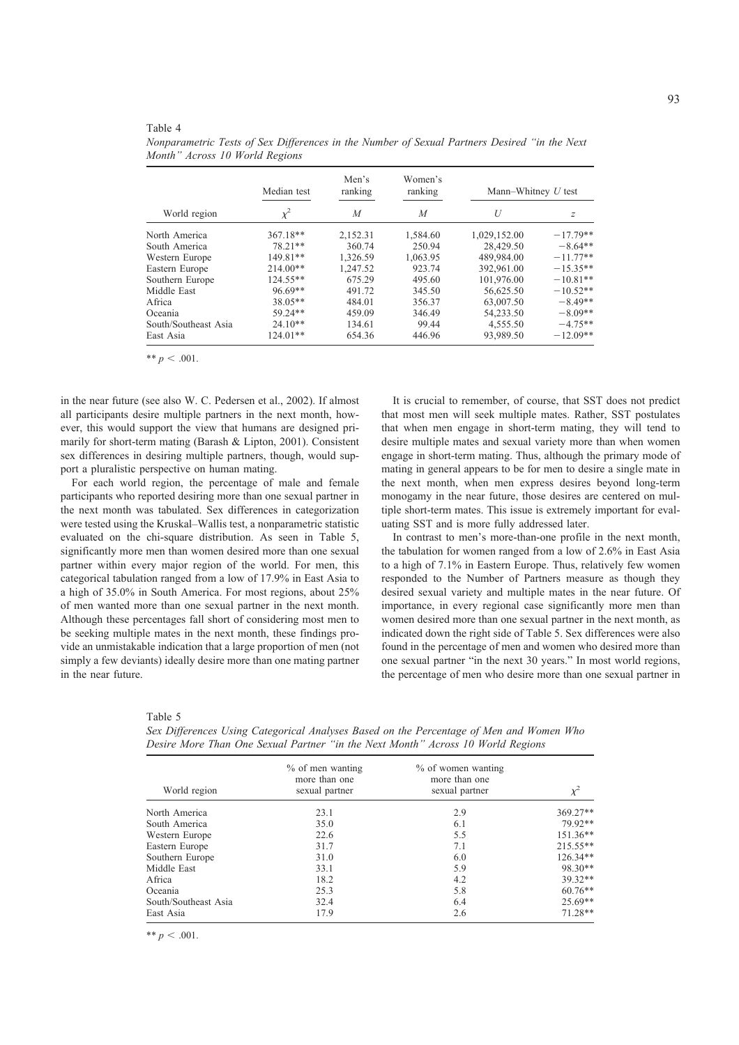|                      | Median test | Men's<br>ranking | Women's<br>ranking |              | Mann-Whitney $U$ test |  |  |
|----------------------|-------------|------------------|--------------------|--------------|-----------------------|--|--|
| World region         | $\chi^2$    | $\overline{M}$   | $\overline{M}$     | U            | $\overline{z}$        |  |  |
| North America        | $367.18**$  | 2.152.31         | 1.584.60           | 1,029,152.00 | $-17.79**$            |  |  |
| South America        | 78.21**     | 360.74           | 250.94             | 28,429.50    | $-8.64**$             |  |  |
| Western Europe       | 149.81**    | 1.326.59         | 1.063.95           | 489,984.00   | $-11.77**$            |  |  |
| Eastern Europe       | $214.00**$  | 1.247.52         | 923.74             | 392,961.00   | $-15.35**$            |  |  |
| Southern Europe      | $124.55**$  | 675.29           | 495.60             | 101,976.00   | $-10.81**$            |  |  |
| Middle East          | $96.69**$   | 491.72           | 345.50             | 56,625.50    | $-10.52**$            |  |  |
| Africa               | $38.05**$   | 484.01           | 356.37             | 63,007.50    | $-8.49**$             |  |  |
| Oceania              | $59.24**$   | 459.09           | 346.49             | 54,233.50    | $-8.09**$             |  |  |
| South/Southeast Asia | $24.10**$   | 134.61           | 99.44              | 4,555.50     | $-4.75**$             |  |  |
| East Asia            | $124.01**$  | 654.36           | 446.96             | 93.989.50    | $-12.09**$            |  |  |

*Nonparametric Tests of Sex Differences in the Number of Sexual Partners Desired "in the Next Month" Across 10 World Regions*

 $*$  *p* < .001.

Table 4

in the near future (see also W. C. Pedersen et al., 2002). If almost all participants desire multiple partners in the next month, however, this would support the view that humans are designed primarily for short-term mating (Barash & Lipton, 2001). Consistent sex differences in desiring multiple partners, though, would support a pluralistic perspective on human mating.

For each world region, the percentage of male and female participants who reported desiring more than one sexual partner in the next month was tabulated. Sex differences in categorization were tested using the Kruskal–Wallis test, a nonparametric statistic evaluated on the chi-square distribution. As seen in Table 5, significantly more men than women desired more than one sexual partner within every major region of the world. For men, this categorical tabulation ranged from a low of 17.9% in East Asia to a high of 35.0% in South America. For most regions, about 25% of men wanted more than one sexual partner in the next month. Although these percentages fall short of considering most men to be seeking multiple mates in the next month, these findings provide an unmistakable indication that a large proportion of men (not simply a few deviants) ideally desire more than one mating partner in the near future.

It is crucial to remember, of course, that SST does not predict that most men will seek multiple mates. Rather, SST postulates that when men engage in short-term mating, they will tend to desire multiple mates and sexual variety more than when women engage in short-term mating. Thus, although the primary mode of mating in general appears to be for men to desire a single mate in the next month, when men express desires beyond long-term monogamy in the near future, those desires are centered on multiple short-term mates. This issue is extremely important for evaluating SST and is more fully addressed later.

In contrast to men's more-than-one profile in the next month, the tabulation for women ranged from a low of 2.6% in East Asia to a high of 7.1% in Eastern Europe. Thus, relatively few women responded to the Number of Partners measure as though they desired sexual variety and multiple mates in the near future. Of importance, in every regional case significantly more men than women desired more than one sexual partner in the next month, as indicated down the right side of Table 5. Sex differences were also found in the percentage of men and women who desired more than one sexual partner "in the next 30 years." In most world regions, the percentage of men who desire more than one sexual partner in

Table 5

*Sex Differences Using Categorical Analyses Based on the Percentage of Men and Women Who Desire More Than One Sexual Partner "in the Next Month" Across 10 World Regions*

| World region         | $%$ of men wanting<br>more than one | % of women wanting<br>more than one |            |
|----------------------|-------------------------------------|-------------------------------------|------------|
|                      | sexual partner                      | sexual partner                      |            |
| North America        | 23.1                                | 2.9                                 | 369.27**   |
| South America        | 35.0                                | 6.1                                 | 79.92**    |
| Western Europe       | 22.6                                | 5.5                                 | $151.36**$ |
| Eastern Europe       | 31.7                                | 7.1                                 | $215.55**$ |
| Southern Europe      | 31.0                                | 6.0                                 | $126.34**$ |
| Middle East          | 33.1                                | 5.9                                 | 98.30**    |
| Africa               | 18.2                                | 4.2                                 | $39.32**$  |
| Oceania              | 25.3                                | 5.8                                 | $60.76**$  |
| South/Southeast Asia | 32.4                                | 6.4                                 | $25.69**$  |
| East Asia            | 17.9                                | 2.6                                 | $71.28**$  |

\*\*  $p < .001$ .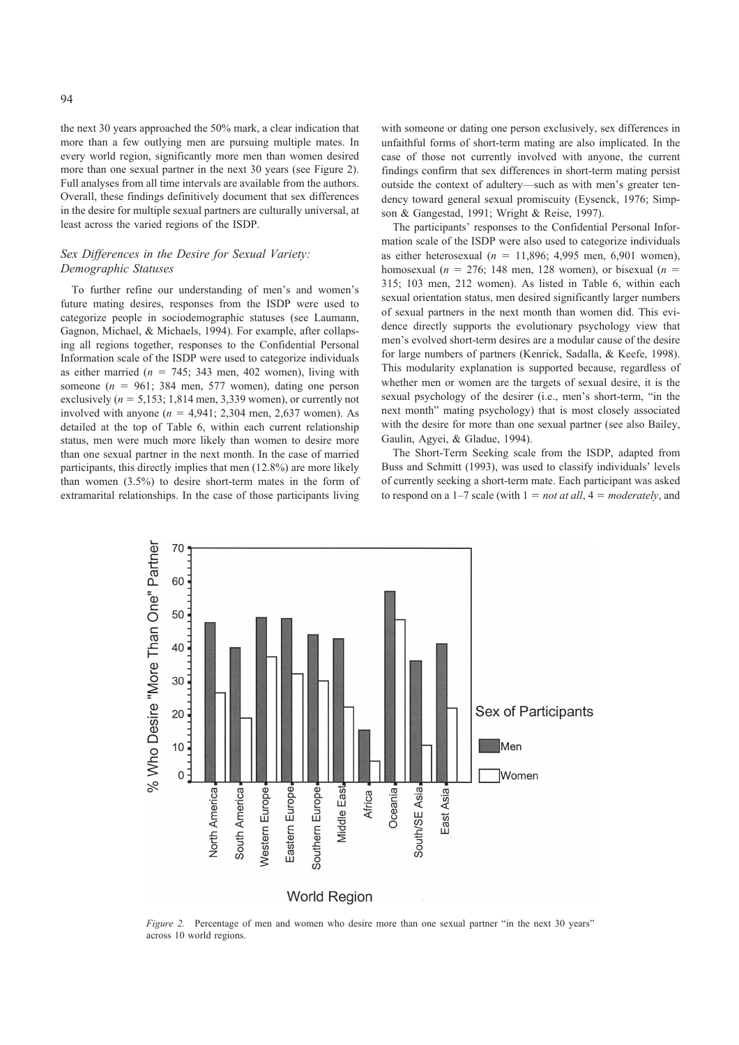the next 30 years approached the 50% mark, a clear indication that more than a few outlying men are pursuing multiple mates. In every world region, significantly more men than women desired more than one sexual partner in the next 30 years (see Figure 2). Full analyses from all time intervals are available from the authors. Overall, these findings definitively document that sex differences in the desire for multiple sexual partners are culturally universal, at least across the varied regions of the ISDP.

## *Sex Differences in the Desire for Sexual Variety: Demographic Statuses*

To further refine our understanding of men's and women's future mating desires, responses from the ISDP were used to categorize people in sociodemographic statuses (see Laumann, Gagnon, Michael, & Michaels, 1994). For example, after collapsing all regions together, responses to the Confidential Personal Information scale of the ISDP were used to categorize individuals as either married ( $n = 745$ ; 343 men, 402 women), living with someone ( $n = 961$ ; 384 men, 577 women), dating one person exclusively  $(n = 5,153; 1,814 \text{ men}, 3,339 \text{ women})$ , or currently not involved with anyone  $(n = 4,941; 2,304 \text{ men}, 2,637 \text{ women})$ . As detailed at the top of Table 6, within each current relationship status, men were much more likely than women to desire more than one sexual partner in the next month. In the case of married participants, this directly implies that men (12.8%) are more likely than women (3.5%) to desire short-term mates in the form of extramarital relationships. In the case of those participants living

with someone or dating one person exclusively, sex differences in unfaithful forms of short-term mating are also implicated. In the case of those not currently involved with anyone, the current findings confirm that sex differences in short-term mating persist outside the context of adultery—such as with men's greater tendency toward general sexual promiscuity (Eysenck, 1976; Simpson & Gangestad, 1991; Wright & Reise, 1997).

The participants' responses to the Confidential Personal Information scale of the ISDP were also used to categorize individuals as either heterosexual ( $n = 11,896$ ; 4,995 men, 6,901 women), homosexual ( $n = 276$ ; 148 men, 128 women), or bisexual ( $n =$ 315; 103 men, 212 women). As listed in Table 6, within each sexual orientation status, men desired significantly larger numbers of sexual partners in the next month than women did. This evidence directly supports the evolutionary psychology view that men's evolved short-term desires are a modular cause of the desire for large numbers of partners (Kenrick, Sadalla, & Keefe, 1998). This modularity explanation is supported because, regardless of whether men or women are the targets of sexual desire, it is the sexual psychology of the desirer (i.e., men's short-term, "in the next month" mating psychology) that is most closely associated with the desire for more than one sexual partner (see also Bailey, Gaulin, Agyei, & Gladue, 1994).

The Short-Term Seeking scale from the ISDP, adapted from Buss and Schmitt (1993), was used to classify individuals' levels of currently seeking a short-term mate. Each participant was asked to respond on a 1–7 scale (with  $1 = not at all$ ,  $4 = moderately$ , and



*Figure 2.* Percentage of men and women who desire more than one sexual partner "in the next 30 years" across 10 world regions.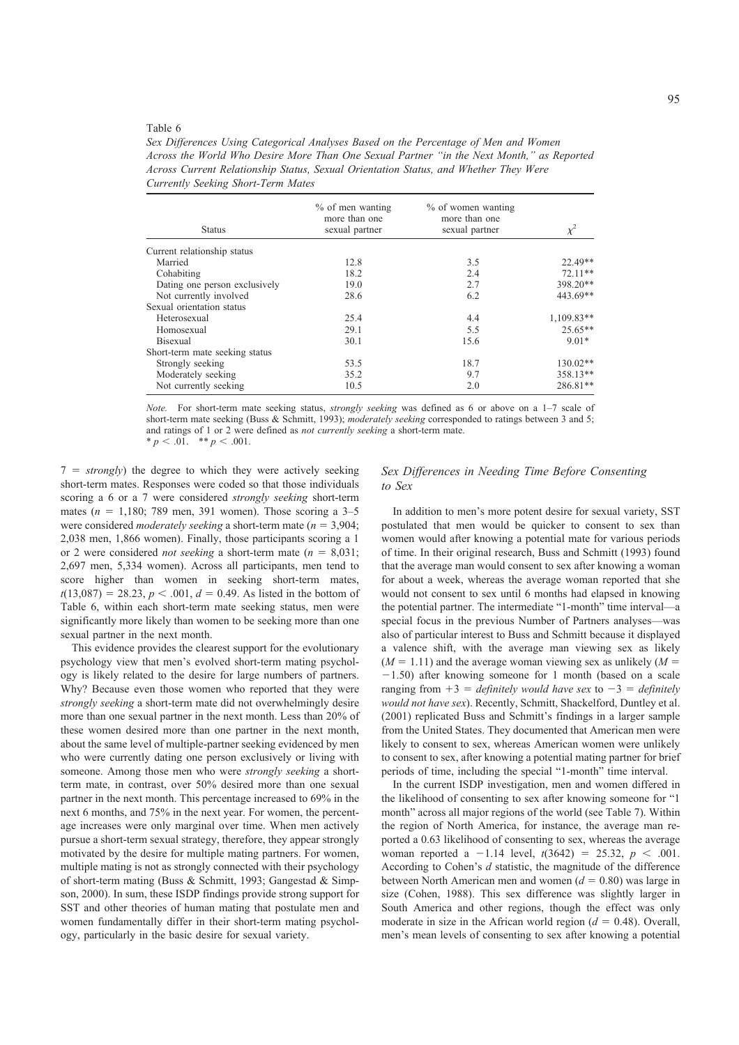## Table 6

*Sex Differences Using Categorical Analyses Based on the Percentage of Men and Women Across the World Who Desire More Than One Sexual Partner "in the Next Month," as Reported Across Current Relationship Status, Sexual Orientation Status, and Whether They Were Currently Seeking Short-Term Mates*

|                                | % of men wanting | % of women wanting |              |
|--------------------------------|------------------|--------------------|--------------|
|                                | more than one    | more than one      |              |
| <b>Status</b>                  | sexual partner   | sexual partner     | $\chi^2$     |
| Current relationship status    |                  |                    |              |
| Married                        | 12.8             | 3.5                | $22.49**$    |
| Cohabiting                     | 18.2             | 2.4                | $72.11**$    |
| Dating one person exclusively  | 19.0             | 2.7                | 398.20**     |
| Not currently involved         | 28.6             | 6.2                | 443.69**     |
| Sexual orientation status      |                  |                    |              |
| Heterosexual                   | 25.4             | 4.4                | $1,109.83**$ |
| Homosexual                     | 29.1             | 5.5                | $25.65**$    |
| Bisexual                       | 30.1             | 15.6               | $9.01*$      |
| Short-term mate seeking status |                  |                    |              |
| Strongly seeking               | 53.5             | 18.7               | 130.02**     |
| Moderately seeking             | 35.2             | 9.7                | 358.13**     |
| Not currently seeking          | 10.5             | 2.0                | 286.81**     |

*Note.* For short-term mate seeking status, *strongly seeking* was defined as 6 or above on a 1–7 scale of short-term mate seeking (Buss & Schmitt, 1993); *moderately seeking* corresponded to ratings between 3 and 5; and ratings of 1 or 2 were defined as *not currently seeking* a short-term mate.  $* p < .01.$  \*\*  $p < .001.$ 

 $7 =$  *strongly*) the degree to which they were actively seeking short-term mates. Responses were coded so that those individuals scoring a 6 or a 7 were considered *strongly seeking* short-term mates ( $n = 1,180$ ; 789 men, 391 women). Those scoring a 3–5 were considered *moderately seeking* a short-term mate ( $n = 3,904$ ; 2,038 men, 1,866 women). Finally, those participants scoring a 1 or 2 were considered *not seeking* a short-term mate  $(n = 8,031;$ 2,697 men, 5,334 women). Across all participants, men tend to score higher than women in seeking short-term mates,  $t(13,087) = 28.23, p < .001, d = 0.49$ . As listed in the bottom of Table 6, within each short-term mate seeking status, men were significantly more likely than women to be seeking more than one sexual partner in the next month.

This evidence provides the clearest support for the evolutionary psychology view that men's evolved short-term mating psychology is likely related to the desire for large numbers of partners. Why? Because even those women who reported that they were *strongly seeking* a short-term mate did not overwhelmingly desire more than one sexual partner in the next month. Less than 20% of these women desired more than one partner in the next month, about the same level of multiple-partner seeking evidenced by men who were currently dating one person exclusively or living with someone. Among those men who were *strongly seeking* a shortterm mate, in contrast, over 50% desired more than one sexual partner in the next month. This percentage increased to 69% in the next 6 months, and 75% in the next year. For women, the percentage increases were only marginal over time. When men actively pursue a short-term sexual strategy, therefore, they appear strongly motivated by the desire for multiple mating partners. For women, multiple mating is not as strongly connected with their psychology of short-term mating (Buss & Schmitt, 1993; Gangestad & Simpson, 2000). In sum, these ISDP findings provide strong support for SST and other theories of human mating that postulate men and women fundamentally differ in their short-term mating psychology, particularly in the basic desire for sexual variety.

## *Sex Differences in Needing Time Before Consenting to Sex*

In addition to men's more potent desire for sexual variety, SST postulated that men would be quicker to consent to sex than women would after knowing a potential mate for various periods of time. In their original research, Buss and Schmitt (1993) found that the average man would consent to sex after knowing a woman for about a week, whereas the average woman reported that she would not consent to sex until 6 months had elapsed in knowing the potential partner. The intermediate "1-month" time interval—a special focus in the previous Number of Partners analyses—was also of particular interest to Buss and Schmitt because it displayed a valence shift, with the average man viewing sex as likely  $(M = 1.11)$  and the average woman viewing sex as unlikely  $(M = 1.11)$  $-1.50$ ) after knowing someone for 1 month (based on a scale ranging from  $+3$  = *definitely would have sex* to  $-3$  = *definitely would not have sex*). Recently, Schmitt, Shackelford, Duntley et al. (2001) replicated Buss and Schmitt's findings in a larger sample from the United States. They documented that American men were likely to consent to sex, whereas American women were unlikely to consent to sex, after knowing a potential mating partner for brief periods of time, including the special "1-month" time interval.

In the current ISDP investigation, men and women differed in the likelihood of consenting to sex after knowing someone for "1 month" across all major regions of the world (see Table 7). Within the region of North America, for instance, the average man reported a 0.63 likelihood of consenting to sex, whereas the average woman reported a  $-1.14$  level,  $t(3642) = 25.32$ ,  $p < .001$ . According to Cohen's *d* statistic, the magnitude of the difference between North American men and women  $(d = 0.80)$  was large in size (Cohen, 1988). This sex difference was slightly larger in South America and other regions, though the effect was only moderate in size in the African world region  $(d = 0.48)$ . Overall, men's mean levels of consenting to sex after knowing a potential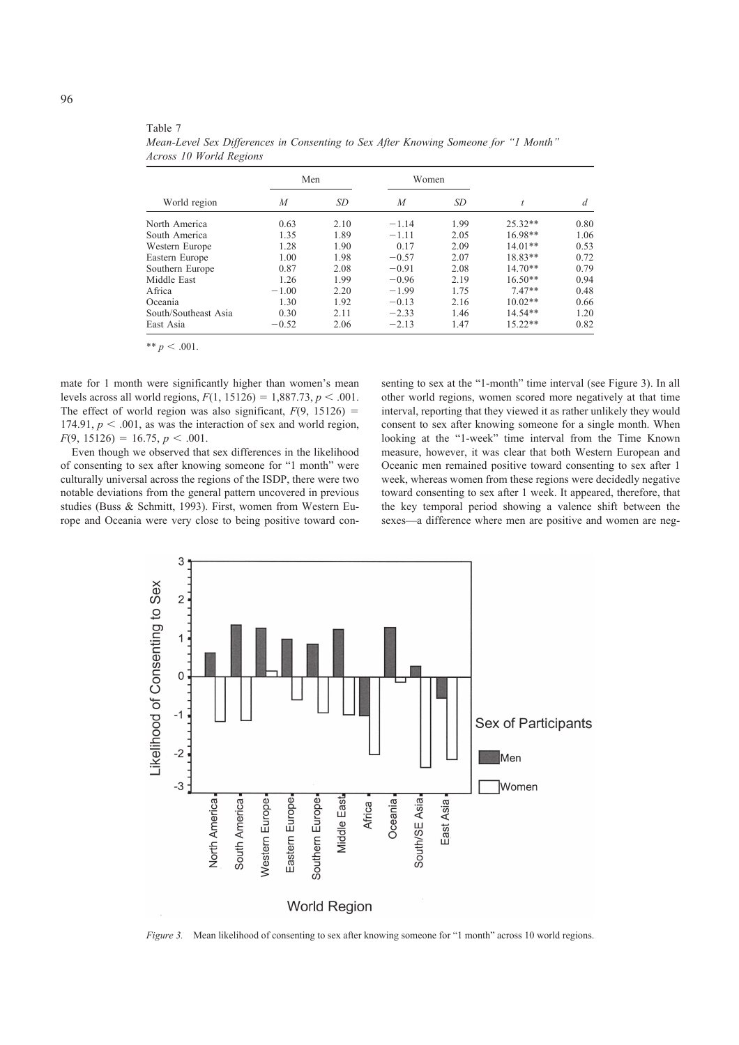| World region         |         | Men  |         | Women |           |      |
|----------------------|---------|------|---------|-------|-----------|------|
|                      | M       | SD   | M       | SD    |           | d    |
| North America        | 0.63    | 2.10 | $-1.14$ | 1.99  | $25.32**$ | 0.80 |
| South America        | 1.35    | 1.89 | $-1.11$ | 2.05  | 16.98**   | 1.06 |
| Western Europe       | 1.28    | 1.90 | 0.17    | 2.09  | $14.01**$ | 0.53 |
| Eastern Europe       | 1.00    | 1.98 | $-0.57$ | 2.07  | $18.83**$ | 0.72 |
| Southern Europe      | 0.87    | 2.08 | $-0.91$ | 2.08  | $14.70**$ | 0.79 |
| Middle East          | 1.26    | 1.99 | $-0.96$ | 2.19  | $16.50**$ | 0.94 |
| Africa               | $-1.00$ | 2.20 | $-1.99$ | 1.75  | $7.47**$  | 0.48 |
| Oceania              | 1.30    | 1.92 | $-0.13$ | 2.16  | $10.02**$ | 0.66 |
| South/Southeast Asia | 0.30    | 2.11 | $-2.33$ | 1.46  | $14.54**$ | 1.20 |
| East Asia            | $-0.52$ | 2.06 | $-2.13$ | 1.47  | $15.22**$ | 0.82 |

Table 7 *Mean-Level Sex Differences in Consenting to Sex After Knowing Someone for "1 Month" Across 10 World Regions*

\*\*  $p < .001$ .

mate for 1 month were significantly higher than women's mean levels across all world regions,  $F(1, 15126) = 1,887.73, p < .001$ . The effect of world region was also significant,  $F(9, 15126) =$ 174.91,  $p < .001$ , as was the interaction of sex and world region,  $F(9, 15126) = 16.75, p < .001.$ 

Even though we observed that sex differences in the likelihood of consenting to sex after knowing someone for "1 month" were culturally universal across the regions of the ISDP, there were two notable deviations from the general pattern uncovered in previous studies (Buss & Schmitt, 1993). First, women from Western Europe and Oceania were very close to being positive toward consenting to sex at the "1-month" time interval (see Figure 3). In all other world regions, women scored more negatively at that time interval, reporting that they viewed it as rather unlikely they would consent to sex after knowing someone for a single month. When looking at the "1-week" time interval from the Time Known measure, however, it was clear that both Western European and Oceanic men remained positive toward consenting to sex after 1 week, whereas women from these regions were decidedly negative toward consenting to sex after 1 week. It appeared, therefore, that the key temporal period showing a valence shift between the sexes—a difference where men are positive and women are neg-



*Figure 3.* Mean likelihood of consenting to sex after knowing someone for "1 month" across 10 world regions.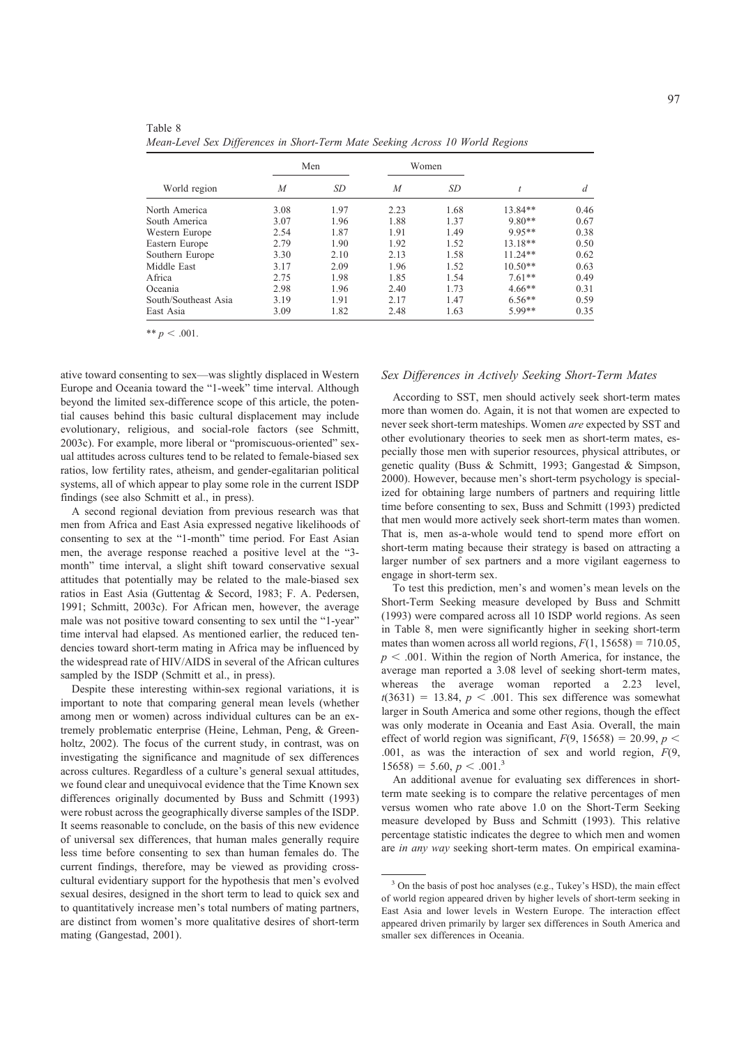Table 8 *Mean-Level Sex Differences in Short-Term Mate Seeking Across 10 World Regions*

|                      |      | Men  |      | Women |           |      |
|----------------------|------|------|------|-------|-----------|------|
| World region         | M    | SD   | M    | SD    | t         | d    |
| North America        | 3.08 | 1.97 | 2.23 | 1.68  | 13.84**   | 0.46 |
| South America        | 3.07 | 1.96 | 1.88 | 1.37  | $9.80**$  | 0.67 |
| Western Europe       | 2.54 | 1.87 | 1.91 | 1.49  | 9.95**    | 0.38 |
| Eastern Europe       | 2.79 | 1.90 | 1.92 | 1.52  | 13.18**   | 0.50 |
| Southern Europe      | 3.30 | 2.10 | 2.13 | 1.58  | $11.24**$ | 0.62 |
| Middle East          | 3.17 | 2.09 | 1.96 | 1.52  | $10.50**$ | 0.63 |
| Africa               | 2.75 | 1.98 | 1.85 | 1.54  | $7.61**$  | 0.49 |
| Oceania              | 2.98 | 1.96 | 2.40 | 1.73  | $4.66**$  | 0.31 |
| South/Southeast Asia | 3.19 | 1.91 | 2.17 | 1.47  | $6.56**$  | 0.59 |
| East Asia            | 3.09 | 1.82 | 2.48 | 1.63  | 5.99**    | 0.35 |

\*\*  $p < .001$ .

ative toward consenting to sex—was slightly displaced in Western Europe and Oceania toward the "1-week" time interval. Although beyond the limited sex-difference scope of this article, the potential causes behind this basic cultural displacement may include evolutionary, religious, and social-role factors (see Schmitt, 2003c). For example, more liberal or "promiscuous-oriented" sexual attitudes across cultures tend to be related to female-biased sex ratios, low fertility rates, atheism, and gender-egalitarian political systems, all of which appear to play some role in the current ISDP findings (see also Schmitt et al., in press).

A second regional deviation from previous research was that men from Africa and East Asia expressed negative likelihoods of consenting to sex at the "1-month" time period. For East Asian men, the average response reached a positive level at the "3 month" time interval, a slight shift toward conservative sexual attitudes that potentially may be related to the male-biased sex ratios in East Asia (Guttentag & Secord, 1983; F. A. Pedersen, 1991; Schmitt, 2003c). For African men, however, the average male was not positive toward consenting to sex until the "1-year" time interval had elapsed. As mentioned earlier, the reduced tendencies toward short-term mating in Africa may be influenced by the widespread rate of HIV/AIDS in several of the African cultures sampled by the ISDP (Schmitt et al., in press).

Despite these interesting within-sex regional variations, it is important to note that comparing general mean levels (whether among men or women) across individual cultures can be an extremely problematic enterprise (Heine, Lehman, Peng, & Greenholtz, 2002). The focus of the current study, in contrast, was on investigating the significance and magnitude of sex differences across cultures. Regardless of a culture's general sexual attitudes, we found clear and unequivocal evidence that the Time Known sex differences originally documented by Buss and Schmitt (1993) were robust across the geographically diverse samples of the ISDP. It seems reasonable to conclude, on the basis of this new evidence of universal sex differences, that human males generally require less time before consenting to sex than human females do. The current findings, therefore, may be viewed as providing crosscultural evidentiary support for the hypothesis that men's evolved sexual desires, designed in the short term to lead to quick sex and to quantitatively increase men's total numbers of mating partners, are distinct from women's more qualitative desires of short-term mating (Gangestad, 2001).

# *Sex Differences in Actively Seeking Short-Term Mates*

According to SST, men should actively seek short-term mates more than women do. Again, it is not that women are expected to never seek short-term mateships. Women *are* expected by SST and other evolutionary theories to seek men as short-term mates, especially those men with superior resources, physical attributes, or genetic quality (Buss & Schmitt, 1993; Gangestad & Simpson, 2000). However, because men's short-term psychology is specialized for obtaining large numbers of partners and requiring little time before consenting to sex, Buss and Schmitt (1993) predicted that men would more actively seek short-term mates than women. That is, men as-a-whole would tend to spend more effort on short-term mating because their strategy is based on attracting a larger number of sex partners and a more vigilant eagerness to engage in short-term sex.

To test this prediction, men's and women's mean levels on the Short-Term Seeking measure developed by Buss and Schmitt (1993) were compared across all 10 ISDP world regions. As seen in Table 8, men were significantly higher in seeking short-term mates than women across all world regions,  $F(1, 15658) = 710.05$ ,  $p < .001$ . Within the region of North America, for instance, the average man reported a 3.08 level of seeking short-term mates, whereas the average woman reported a 2.23 level,  $t(3631) = 13.84$ ,  $p < .001$ . This sex difference was somewhat larger in South America and some other regions, though the effect was only moderate in Oceania and East Asia. Overall, the main effect of world region was significant,  $F(9, 15658) = 20.99$ ,  $p <$ .001, as was the interaction of sex and world region, *F*(9,  $15658$ ) = 5.60, *p* < .001.<sup>3</sup>

An additional avenue for evaluating sex differences in shortterm mate seeking is to compare the relative percentages of men versus women who rate above 1.0 on the Short-Term Seeking measure developed by Buss and Schmitt (1993). This relative percentage statistic indicates the degree to which men and women are *in any way* seeking short-term mates. On empirical examina-

<sup>3</sup> On the basis of post hoc analyses (e.g., Tukey's HSD), the main effect of world region appeared driven by higher levels of short-term seeking in East Asia and lower levels in Western Europe. The interaction effect appeared driven primarily by larger sex differences in South America and smaller sex differences in Oceania.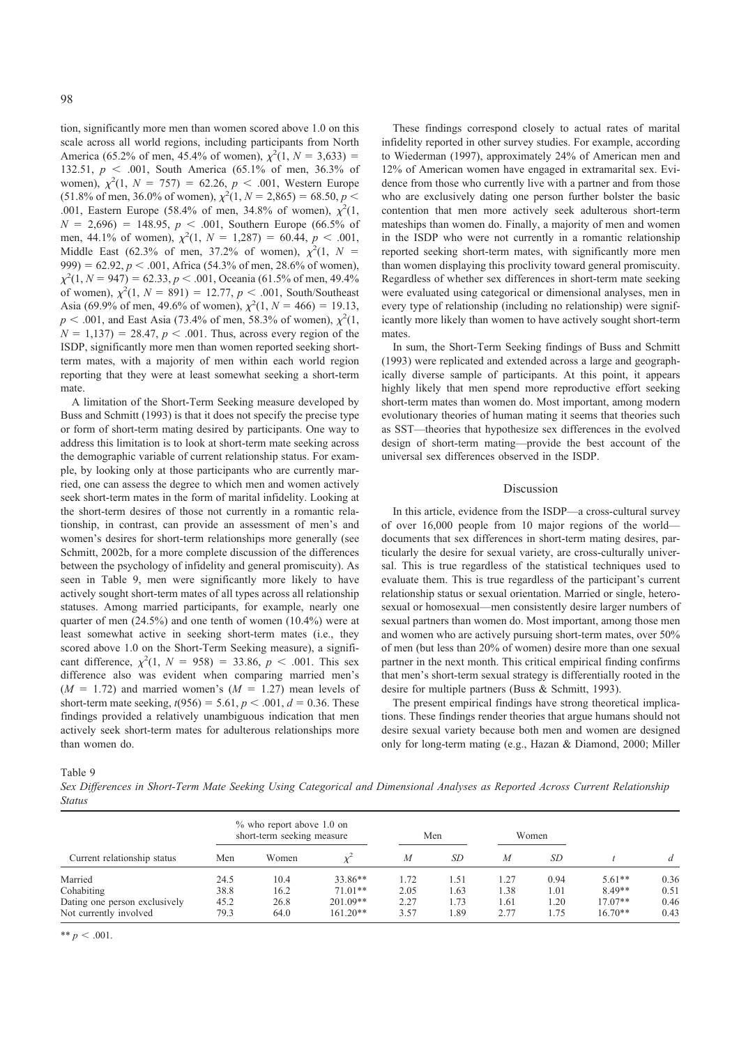tion, significantly more men than women scored above 1.0 on this scale across all world regions, including participants from North America (65.2% of men, 45.4% of women),  $\chi^2(1, N = 3,633)$  = 132.51,  $p < .001$ , South America (65.1% of men, 36.3% of women),  $\chi^2(1, N = 757) = 62.26, p < .001$ , Western Europe  $(51.8\% \text{ of men}, 36.0\% \text{ of women}), \chi^2(1, N = 2,865) = 68.50, p$ .001, Eastern Europe (58.4% of men, 34.8% of women),  $\chi^2(1,$  $N = 2,696$  = 148.95,  $p < .001$ , Southern Europe (66.5% of men, 44.1% of women),  $\chi^2(1, N = 1,287) = 60.44, p < .001$ , Middle East (62.3% of men, 37.2% of women),  $\chi^2(1, N =$ 999) =  $62.92$ ,  $p < .001$ , Africa (54.3% of men, 28.6% of women),  $\chi^2(1, N = 947) = 62.33, p < .001,$  Oceania (61.5% of men, 49.4%) of women),  $\chi^2(1, N = 891) = 12.77, p < .001$ , South/Southeast Asia (69.9% of men, 49.6% of women),  $\chi^2(1, N = 466) = 19.13$ ,  $p < .001$ , and East Asia (73.4% of men, 58.3% of women),  $\chi^2(1, 1)$  $N = 1,137$  = 28.47,  $p < .001$ . Thus, across every region of the ISDP, significantly more men than women reported seeking shortterm mates, with a majority of men within each world region reporting that they were at least somewhat seeking a short-term mate.

A limitation of the Short-Term Seeking measure developed by Buss and Schmitt (1993) is that it does not specify the precise type or form of short-term mating desired by participants. One way to address this limitation is to look at short-term mate seeking across the demographic variable of current relationship status. For example, by looking only at those participants who are currently married, one can assess the degree to which men and women actively seek short-term mates in the form of marital infidelity. Looking at the short-term desires of those not currently in a romantic relationship, in contrast, can provide an assessment of men's and women's desires for short-term relationships more generally (see Schmitt, 2002b, for a more complete discussion of the differences between the psychology of infidelity and general promiscuity). As seen in Table 9, men were significantly more likely to have actively sought short-term mates of all types across all relationship statuses. Among married participants, for example, nearly one quarter of men (24.5%) and one tenth of women (10.4%) were at least somewhat active in seeking short-term mates (i.e., they scored above 1.0 on the Short-Term Seeking measure), a significant difference,  $\chi^2(1, N = 958) = 33.86, p < .001$ . This sex difference also was evident when comparing married men's  $(M = 1.72)$  and married women's  $(M = 1.27)$  mean levels of short-term mate seeking,  $t(956) = 5.61$ ,  $p < .001$ ,  $d = 0.36$ . These findings provided a relatively unambiguous indication that men actively seek short-term mates for adulterous relationships more than women do.

These findings correspond closely to actual rates of marital infidelity reported in other survey studies. For example, according to Wiederman (1997), approximately 24% of American men and 12% of American women have engaged in extramarital sex. Evidence from those who currently live with a partner and from those who are exclusively dating one person further bolster the basic contention that men more actively seek adulterous short-term mateships than women do. Finally, a majority of men and women in the ISDP who were not currently in a romantic relationship reported seeking short-term mates, with significantly more men than women displaying this proclivity toward general promiscuity. Regardless of whether sex differences in short-term mate seeking were evaluated using categorical or dimensional analyses, men in every type of relationship (including no relationship) were significantly more likely than women to have actively sought short-term mates.

In sum, the Short-Term Seeking findings of Buss and Schmitt (1993) were replicated and extended across a large and geographically diverse sample of participants. At this point, it appears highly likely that men spend more reproductive effort seeking short-term mates than women do. Most important, among modern evolutionary theories of human mating it seems that theories such as SST—theories that hypothesize sex differences in the evolved design of short-term mating—provide the best account of the universal sex differences observed in the ISDP.

## Discussion

In this article, evidence from the ISDP—a cross-cultural survey of over 16,000 people from 10 major regions of the world documents that sex differences in short-term mating desires, particularly the desire for sexual variety, are cross-culturally universal. This is true regardless of the statistical techniques used to evaluate them. This is true regardless of the participant's current relationship status or sexual orientation. Married or single, heterosexual or homosexual—men consistently desire larger numbers of sexual partners than women do. Most important, among those men and women who are actively pursuing short-term mates, over 50% of men (but less than 20% of women) desire more than one sexual partner in the next month. This critical empirical finding confirms that men's short-term sexual strategy is differentially rooted in the desire for multiple partners (Buss & Schmitt, 1993).

The present empirical findings have strong theoretical implications. These findings render theories that argue humans should not desire sexual variety because both men and women are designed only for long-term mating (e.g., Hazan & Diamond, 2000; Miller

Table 9

*Sex Differences in Short-Term Mate Seeking Using Categorical and Dimensional Analyses as Reported Across Current Relationship Status*

| Current relationship status                             | % who report above 1.0 on<br>short-term seeking measure |              |                          | Men          |              | Women        |              |                        |              |
|---------------------------------------------------------|---------------------------------------------------------|--------------|--------------------------|--------------|--------------|--------------|--------------|------------------------|--------------|
|                                                         | Men                                                     | Women        |                          | M            | SD.          | M            | SD.          |                        | d            |
| Married                                                 | 24.5                                                    | 10.4         | $33.86**$                | 1.72         | 1.51         | 1.27         | 0.94         | $5.61**$               | 0.36         |
| Cohabiting                                              | 38.8                                                    | 16.2         | $71.01**$                | 2.05         | 1.63         | 1.38         | 1.01         | $8.49**$               | 0.51         |
| Dating one person exclusively<br>Not currently involved | 45.2<br>79.3                                            | 26.8<br>64.0 | $201.09**$<br>$161.20**$ | 2.27<br>3.57 | 1.73<br>1.89 | 1.61<br>2.77 | 1.20<br>1.75 | $17.07**$<br>$16.70**$ | 0.46<br>0.43 |

 $** p < .001$ .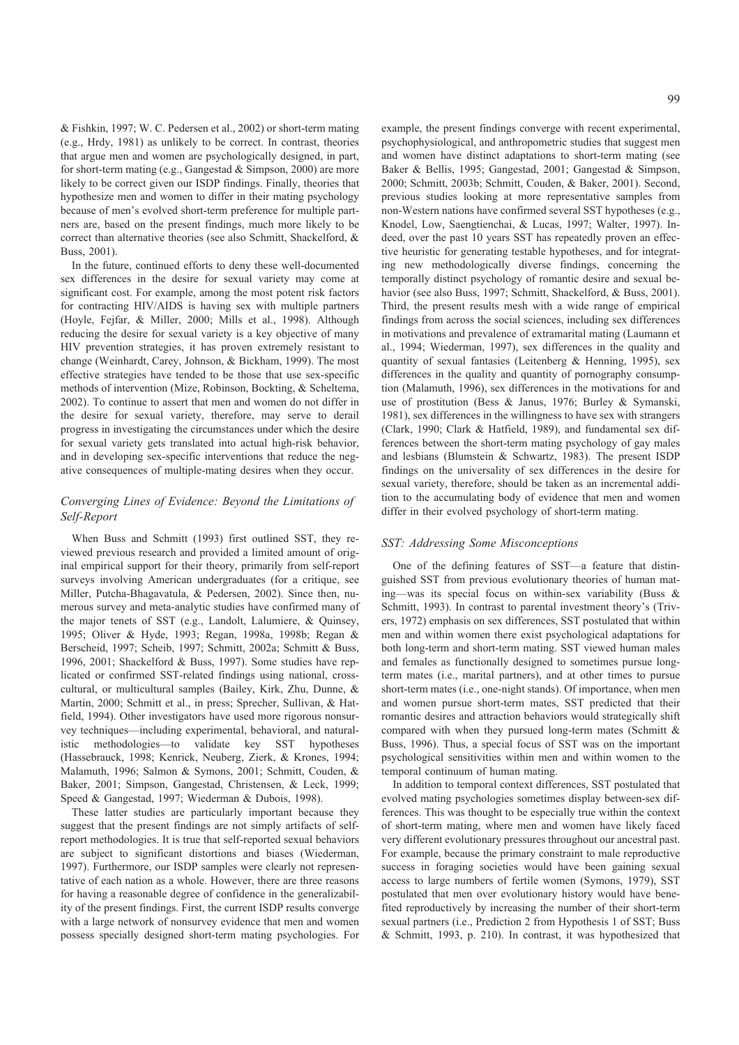& Fishkin, 1997; W. C. Pedersen et al., 2002) or short-term mating (e.g., Hrdy, 1981) as unlikely to be correct. In contrast, theories that argue men and women are psychologically designed, in part, for short-term mating (e.g., Gangestad & Simpson, 2000) are more likely to be correct given our ISDP findings. Finally, theories that hypothesize men and women to differ in their mating psychology because of men's evolved short-term preference for multiple partners are, based on the present findings, much more likely to be correct than alternative theories (see also Schmitt, Shackelford, & Buss, 2001).

In the future, continued efforts to deny these well-documented sex differences in the desire for sexual variety may come at significant cost. For example, among the most potent risk factors for contracting HIV/AIDS is having sex with multiple partners (Hoyle, Fejfar, & Miller, 2000; Mills et al., 1998). Although reducing the desire for sexual variety is a key objective of many HIV prevention strategies, it has proven extremely resistant to change (Weinhardt, Carey, Johnson, & Bickham, 1999). The most effective strategies have tended to be those that use sex-specific methods of intervention (Mize, Robinson, Bockting, & Scheltema, 2002). To continue to assert that men and women do not differ in the desire for sexual variety, therefore, may serve to derail progress in investigating the circumstances under which the desire for sexual variety gets translated into actual high-risk behavior, and in developing sex-specific interventions that reduce the negative consequences of multiple-mating desires when they occur.

# *Converging Lines of Evidence: Beyond the Limitations of Self-Report*

When Buss and Schmitt (1993) first outlined SST, they reviewed previous research and provided a limited amount of original empirical support for their theory, primarily from self-report surveys involving American undergraduates (for a critique, see Miller, Putcha-Bhagavatula, & Pedersen, 2002). Since then, numerous survey and meta-analytic studies have confirmed many of the major tenets of SST (e.g., Landolt, Lalumiere, & Quinsey, 1995; Oliver & Hyde, 1993; Regan, 1998a, 1998b; Regan & Berscheid, 1997; Scheib, 1997; Schmitt, 2002a; Schmitt & Buss, 1996, 2001; Shackelford & Buss, 1997). Some studies have replicated or confirmed SST-related findings using national, crosscultural, or multicultural samples (Bailey, Kirk, Zhu, Dunne, & Martin, 2000; Schmitt et al., in press; Sprecher, Sullivan, & Hatfield, 1994). Other investigators have used more rigorous nonsurvey techniques—including experimental, behavioral, and naturalistic methodologies—to validate key SST hypotheses (Hassebrauck, 1998; Kenrick, Neuberg, Zierk, & Krones, 1994; Malamuth, 1996; Salmon & Symons, 2001; Schmitt, Couden, & Baker, 2001; Simpson, Gangestad, Christensen, & Leck, 1999; Speed & Gangestad, 1997; Wiederman & Dubois, 1998).

These latter studies are particularly important because they suggest that the present findings are not simply artifacts of selfreport methodologies. It is true that self-reported sexual behaviors are subject to significant distortions and biases (Wiederman, 1997). Furthermore, our ISDP samples were clearly not representative of each nation as a whole. However, there are three reasons for having a reasonable degree of confidence in the generalizability of the present findings. First, the current ISDP results converge with a large network of nonsurvey evidence that men and women possess specially designed short-term mating psychologies. For

example, the present findings converge with recent experimental, psychophysiological, and anthropometric studies that suggest men and women have distinct adaptations to short-term mating (see Baker & Bellis, 1995; Gangestad, 2001; Gangestad & Simpson, 2000; Schmitt, 2003b; Schmitt, Couden, & Baker, 2001). Second, previous studies looking at more representative samples from non-Western nations have confirmed several SST hypotheses (e.g., Knodel, Low, Saengtienchai, & Lucas, 1997; Walter, 1997). Indeed, over the past 10 years SST has repeatedly proven an effective heuristic for generating testable hypotheses, and for integrating new methodologically diverse findings, concerning the temporally distinct psychology of romantic desire and sexual behavior (see also Buss, 1997; Schmitt, Shackelford, & Buss, 2001). Third, the present results mesh with a wide range of empirical findings from across the social sciences, including sex differences in motivations and prevalence of extramarital mating (Laumann et al., 1994; Wiederman, 1997), sex differences in the quality and quantity of sexual fantasies (Leitenberg & Henning, 1995), sex differences in the quality and quantity of pornography consumption (Malamuth, 1996), sex differences in the motivations for and use of prostitution (Bess & Janus, 1976; Burley & Symanski, 1981), sex differences in the willingness to have sex with strangers (Clark, 1990; Clark & Hatfield, 1989), and fundamental sex differences between the short-term mating psychology of gay males and lesbians (Blumstein & Schwartz, 1983). The present ISDP findings on the universality of sex differences in the desire for sexual variety, therefore, should be taken as an incremental addition to the accumulating body of evidence that men and women differ in their evolved psychology of short-term mating.

#### *SST: Addressing Some Misconceptions*

One of the defining features of SST—a feature that distinguished SST from previous evolutionary theories of human mating—was its special focus on within-sex variability (Buss & Schmitt, 1993). In contrast to parental investment theory's (Trivers, 1972) emphasis on sex differences, SST postulated that within men and within women there exist psychological adaptations for both long-term and short-term mating. SST viewed human males and females as functionally designed to sometimes pursue longterm mates (i.e., marital partners), and at other times to pursue short-term mates (i.e., one-night stands). Of importance, when men and women pursue short-term mates, SST predicted that their romantic desires and attraction behaviors would strategically shift compared with when they pursued long-term mates (Schmitt & Buss, 1996). Thus, a special focus of SST was on the important psychological sensitivities within men and within women to the temporal continuum of human mating.

In addition to temporal context differences, SST postulated that evolved mating psychologies sometimes display between-sex differences. This was thought to be especially true within the context of short-term mating, where men and women have likely faced very different evolutionary pressures throughout our ancestral past. For example, because the primary constraint to male reproductive success in foraging societies would have been gaining sexual access to large numbers of fertile women (Symons, 1979), SST postulated that men over evolutionary history would have benefited reproductively by increasing the number of their short-term sexual partners (i.e., Prediction 2 from Hypothesis 1 of SST; Buss & Schmitt, 1993, p. 210). In contrast, it was hypothesized that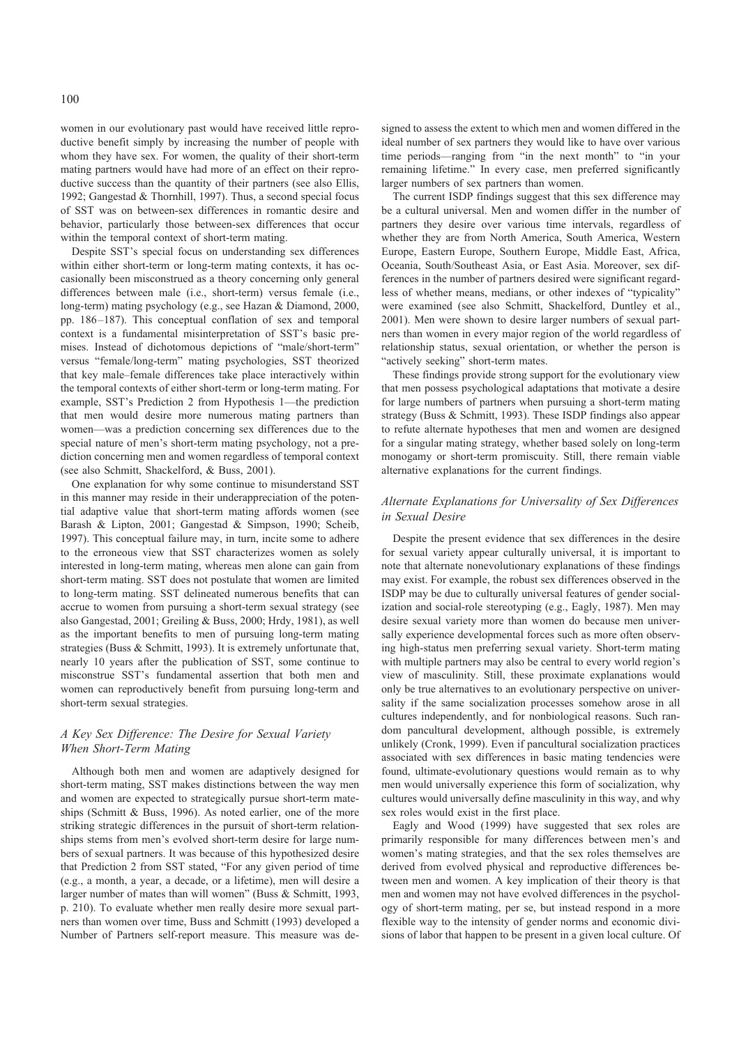women in our evolutionary past would have received little reproductive benefit simply by increasing the number of people with whom they have sex. For women, the quality of their short-term mating partners would have had more of an effect on their reproductive success than the quantity of their partners (see also Ellis, 1992; Gangestad & Thornhill, 1997). Thus, a second special focus of SST was on between-sex differences in romantic desire and behavior, particularly those between-sex differences that occur within the temporal context of short-term mating.

Despite SST's special focus on understanding sex differences within either short-term or long-term mating contexts, it has occasionally been misconstrued as a theory concerning only general differences between male (i.e., short-term) versus female (i.e., long-term) mating psychology (e.g., see Hazan & Diamond, 2000, pp. 186 –187). This conceptual conflation of sex and temporal context is a fundamental misinterpretation of SST's basic premises. Instead of dichotomous depictions of "male/short-term" versus "female/long-term" mating psychologies, SST theorized that key male–female differences take place interactively within the temporal contexts of either short-term or long-term mating. For example, SST's Prediction 2 from Hypothesis 1—the prediction that men would desire more numerous mating partners than women—was a prediction concerning sex differences due to the special nature of men's short-term mating psychology, not a prediction concerning men and women regardless of temporal context (see also Schmitt, Shackelford, & Buss, 2001).

One explanation for why some continue to misunderstand SST in this manner may reside in their underappreciation of the potential adaptive value that short-term mating affords women (see Barash & Lipton, 2001; Gangestad & Simpson, 1990; Scheib, 1997). This conceptual failure may, in turn, incite some to adhere to the erroneous view that SST characterizes women as solely interested in long-term mating, whereas men alone can gain from short-term mating. SST does not postulate that women are limited to long-term mating. SST delineated numerous benefits that can accrue to women from pursuing a short-term sexual strategy (see also Gangestad, 2001; Greiling & Buss, 2000; Hrdy, 1981), as well as the important benefits to men of pursuing long-term mating strategies (Buss & Schmitt, 1993). It is extremely unfortunate that, nearly 10 years after the publication of SST, some continue to misconstrue SST's fundamental assertion that both men and women can reproductively benefit from pursuing long-term and short-term sexual strategies.

# *A Key Sex Difference: The Desire for Sexual Variety When Short-Term Mating*

Although both men and women are adaptively designed for short-term mating, SST makes distinctions between the way men and women are expected to strategically pursue short-term mateships (Schmitt & Buss, 1996). As noted earlier, one of the more striking strategic differences in the pursuit of short-term relationships stems from men's evolved short-term desire for large numbers of sexual partners. It was because of this hypothesized desire that Prediction 2 from SST stated, "For any given period of time (e.g., a month, a year, a decade, or a lifetime), men will desire a larger number of mates than will women" (Buss & Schmitt, 1993, p. 210). To evaluate whether men really desire more sexual partners than women over time, Buss and Schmitt (1993) developed a Number of Partners self-report measure. This measure was de-

signed to assess the extent to which men and women differed in the ideal number of sex partners they would like to have over various time periods—ranging from "in the next month" to "in your remaining lifetime." In every case, men preferred significantly larger numbers of sex partners than women.

The current ISDP findings suggest that this sex difference may be a cultural universal. Men and women differ in the number of partners they desire over various time intervals, regardless of whether they are from North America, South America, Western Europe, Eastern Europe, Southern Europe, Middle East, Africa, Oceania, South/Southeast Asia, or East Asia. Moreover, sex differences in the number of partners desired were significant regardless of whether means, medians, or other indexes of "typicality" were examined (see also Schmitt, Shackelford, Duntley et al., 2001). Men were shown to desire larger numbers of sexual partners than women in every major region of the world regardless of relationship status, sexual orientation, or whether the person is "actively seeking" short-term mates.

These findings provide strong support for the evolutionary view that men possess psychological adaptations that motivate a desire for large numbers of partners when pursuing a short-term mating strategy (Buss & Schmitt, 1993). These ISDP findings also appear to refute alternate hypotheses that men and women are designed for a singular mating strategy, whether based solely on long-term monogamy or short-term promiscuity. Still, there remain viable alternative explanations for the current findings.

## *Alternate Explanations for Universality of Sex Differences in Sexual Desire*

Despite the present evidence that sex differences in the desire for sexual variety appear culturally universal, it is important to note that alternate nonevolutionary explanations of these findings may exist. For example, the robust sex differences observed in the ISDP may be due to culturally universal features of gender socialization and social-role stereotyping (e.g., Eagly, 1987). Men may desire sexual variety more than women do because men universally experience developmental forces such as more often observing high-status men preferring sexual variety. Short-term mating with multiple partners may also be central to every world region's view of masculinity. Still, these proximate explanations would only be true alternatives to an evolutionary perspective on universality if the same socialization processes somehow arose in all cultures independently, and for nonbiological reasons. Such random pancultural development, although possible, is extremely unlikely (Cronk, 1999). Even if pancultural socialization practices associated with sex differences in basic mating tendencies were found, ultimate-evolutionary questions would remain as to why men would universally experience this form of socialization, why cultures would universally define masculinity in this way, and why sex roles would exist in the first place.

Eagly and Wood (1999) have suggested that sex roles are primarily responsible for many differences between men's and women's mating strategies, and that the sex roles themselves are derived from evolved physical and reproductive differences between men and women. A key implication of their theory is that men and women may not have evolved differences in the psychology of short-term mating, per se, but instead respond in a more flexible way to the intensity of gender norms and economic divisions of labor that happen to be present in a given local culture. Of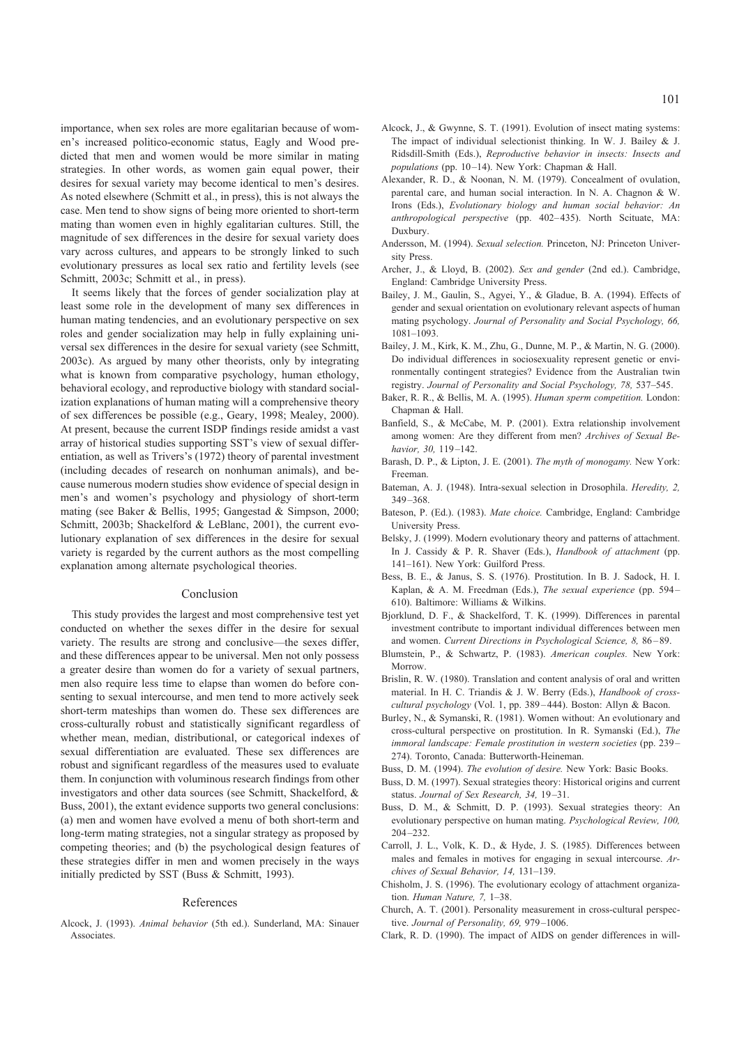importance, when sex roles are more egalitarian because of women's increased politico-economic status, Eagly and Wood predicted that men and women would be more similar in mating strategies. In other words, as women gain equal power, their desires for sexual variety may become identical to men's desires. As noted elsewhere (Schmitt et al., in press), this is not always the case. Men tend to show signs of being more oriented to short-term mating than women even in highly egalitarian cultures. Still, the magnitude of sex differences in the desire for sexual variety does vary across cultures, and appears to be strongly linked to such evolutionary pressures as local sex ratio and fertility levels (see Schmitt, 2003c; Schmitt et al., in press).

It seems likely that the forces of gender socialization play at least some role in the development of many sex differences in human mating tendencies, and an evolutionary perspective on sex roles and gender socialization may help in fully explaining universal sex differences in the desire for sexual variety (see Schmitt, 2003c). As argued by many other theorists, only by integrating what is known from comparative psychology, human ethology, behavioral ecology, and reproductive biology with standard socialization explanations of human mating will a comprehensive theory of sex differences be possible (e.g., Geary, 1998; Mealey, 2000). At present, because the current ISDP findings reside amidst a vast array of historical studies supporting SST's view of sexual differentiation, as well as Trivers's (1972) theory of parental investment (including decades of research on nonhuman animals), and because numerous modern studies show evidence of special design in men's and women's psychology and physiology of short-term mating (see Baker & Bellis, 1995; Gangestad & Simpson, 2000; Schmitt, 2003b; Shackelford & LeBlanc, 2001), the current evolutionary explanation of sex differences in the desire for sexual variety is regarded by the current authors as the most compelling explanation among alternate psychological theories.

### Conclusion

This study provides the largest and most comprehensive test yet conducted on whether the sexes differ in the desire for sexual variety. The results are strong and conclusive—the sexes differ, and these differences appear to be universal. Men not only possess a greater desire than women do for a variety of sexual partners, men also require less time to elapse than women do before consenting to sexual intercourse, and men tend to more actively seek short-term mateships than women do. These sex differences are cross-culturally robust and statistically significant regardless of whether mean, median, distributional, or categorical indexes of sexual differentiation are evaluated. These sex differences are robust and significant regardless of the measures used to evaluate them. In conjunction with voluminous research findings from other investigators and other data sources (see Schmitt, Shackelford, & Buss, 2001), the extant evidence supports two general conclusions: (a) men and women have evolved a menu of both short-term and long-term mating strategies, not a singular strategy as proposed by competing theories; and (b) the psychological design features of these strategies differ in men and women precisely in the ways initially predicted by SST (Buss & Schmitt, 1993).

#### References

Alcock, J. (1993). *Animal behavior* (5th ed.). Sunderland, MA: Sinauer Associates.

- Alcock, J., & Gwynne, S. T. (1991). Evolution of insect mating systems: The impact of individual selectionist thinking. In W. J. Bailey & J. Ridsdill-Smith (Eds.), *Reproductive behavior in insects: Insects and populations* (pp. 10-14). New York: Chapman & Hall.
- Alexander, R. D., & Noonan, N. M. (1979). Concealment of ovulation, parental care, and human social interaction. In N. A. Chagnon & W. Irons (Eds.), *Evolutionary biology and human social behavior: An anthropological perspective* (pp. 402– 435). North Scituate, MA: Duxbury.
- Andersson, M. (1994). *Sexual selection.* Princeton, NJ: Princeton University Press.
- Archer, J., & Lloyd, B. (2002). *Sex and gender* (2nd ed.). Cambridge, England: Cambridge University Press.
- Bailey, J. M., Gaulin, S., Agyei, Y., & Gladue, B. A. (1994). Effects of gender and sexual orientation on evolutionary relevant aspects of human mating psychology. *Journal of Personality and Social Psychology, 66,* 1081–1093.
- Bailey, J. M., Kirk, K. M., Zhu, G., Dunne, M. P., & Martin, N. G. (2000). Do individual differences in sociosexuality represent genetic or environmentally contingent strategies? Evidence from the Australian twin registry. *Journal of Personality and Social Psychology, 78,* 537–545.
- Baker, R. R., & Bellis, M. A. (1995). *Human sperm competition.* London: Chapman & Hall.
- Banfield, S., & McCabe, M. P. (2001). Extra relationship involvement among women: Are they different from men? *Archives of Sexual Behavior, 30,* 119 –142.
- Barash, D. P., & Lipton, J. E. (2001). *The myth of monogamy.* New York: Freeman.
- Bateman, A. J. (1948). Intra-sexual selection in Drosophila. *Heredity, 2,*  $349 - 368$
- Bateson, P. (Ed.). (1983). *Mate choice.* Cambridge, England: Cambridge University Press.
- Belsky, J. (1999). Modern evolutionary theory and patterns of attachment. In J. Cassidy & P. R. Shaver (Eds.), *Handbook of attachment* (pp. 141–161). New York: Guilford Press.
- Bess, B. E., & Janus, S. S. (1976). Prostitution. In B. J. Sadock, H. I. Kaplan, & A. M. Freedman (Eds.), *The sexual experience* (pp. 594 – 610). Baltimore: Williams & Wilkins.
- Bjorklund, D. F., & Shackelford, T. K. (1999). Differences in parental investment contribute to important individual differences between men and women. *Current Directions in Psychological Science, 8,* 86 – 89.
- Blumstein, P., & Schwartz, P. (1983). *American couples.* New York: Morrow.
- Brislin, R. W. (1980). Translation and content analysis of oral and written material. In H. C. Triandis & J. W. Berry (Eds.), *Handbook of crosscultural psychology* (Vol. 1, pp. 389 – 444). Boston: Allyn & Bacon.
- Burley, N., & Symanski, R. (1981). Women without: An evolutionary and cross-cultural perspective on prostitution. In R. Symanski (Ed.), *The immoral landscape: Female prostitution in western societies* (pp. 239 – 274). Toronto, Canada: Butterworth-Heineman.
- Buss, D. M. (1994). *The evolution of desire.* New York: Basic Books.
- Buss, D. M. (1997). Sexual strategies theory: Historical origins and current status. *Journal of Sex Research, 34,* 19 –31.
- Buss, D. M., & Schmitt, D. P. (1993). Sexual strategies theory: An evolutionary perspective on human mating. *Psychological Review, 100,* 204 –232.
- Carroll, J. L., Volk, K. D., & Hyde, J. S. (1985). Differences between males and females in motives for engaging in sexual intercourse. *Archives of Sexual Behavior, 14,* 131–139.
- Chisholm, J. S. (1996). The evolutionary ecology of attachment organization. *Human Nature, 7,* 1–38.
- Church, A. T. (2001). Personality measurement in cross-cultural perspective. *Journal of Personality, 69,* 979 –1006.
- Clark, R. D. (1990). The impact of AIDS on gender differences in will-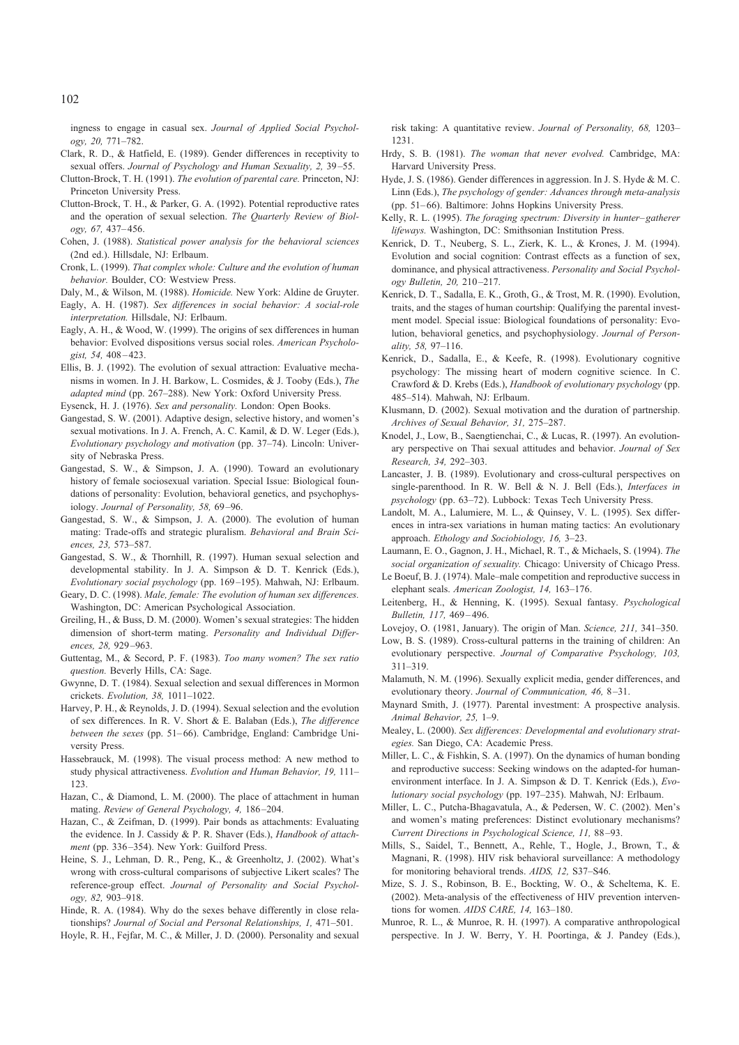ingness to engage in casual sex. *Journal of Applied Social Psychology, 20,* 771–782.

- Clark, R. D., & Hatfield, E. (1989). Gender differences in receptivity to sexual offers. *Journal of Psychology and Human Sexuality, 2,* 39 –55.
- Clutton-Brock, T. H. (1991). *The evolution of parental care.* Princeton, NJ: Princeton University Press.
- Clutton-Brock, T. H., & Parker, G. A. (1992). Potential reproductive rates and the operation of sexual selection. *The Quarterly Review of Biology, 67,* 437– 456.
- Cohen, J. (1988). *Statistical power analysis for the behavioral sciences* (2nd ed.). Hillsdale, NJ: Erlbaum.
- Cronk, L. (1999). *That complex whole: Culture and the evolution of human behavior.* Boulder, CO: Westview Press.
- Daly, M., & Wilson, M. (1988). *Homicide.* New York: Aldine de Gruyter. Eagly, A. H. (1987). *Sex differences in social behavior: A social-role interpretation.* Hillsdale, NJ: Erlbaum.
- Eagly, A. H., & Wood, W. (1999). The origins of sex differences in human behavior: Evolved dispositions versus social roles. *American Psychologist*, 54, 408 – 423.
- Ellis, B. J. (1992). The evolution of sexual attraction: Evaluative mechanisms in women. In J. H. Barkow, L. Cosmides, & J. Tooby (Eds.), *The adapted mind* (pp. 267–288). New York: Oxford University Press.
- Eysenck, H. J. (1976). *Sex and personality.* London: Open Books.
- Gangestad, S. W. (2001). Adaptive design, selective history, and women's sexual motivations. In J. A. French, A. C. Kamil, & D. W. Leger (Eds.), *Evolutionary psychology and motivation* (pp. 37–74). Lincoln: University of Nebraska Press.
- Gangestad, S. W., & Simpson, J. A. (1990). Toward an evolutionary history of female sociosexual variation. Special Issue: Biological foundations of personality: Evolution, behavioral genetics, and psychophysiology. *Journal of Personality, 58,* 69 –96.
- Gangestad, S. W., & Simpson, J. A. (2000). The evolution of human mating: Trade-offs and strategic pluralism. *Behavioral and Brain Sciences, 23,* 573–587.
- Gangestad, S. W., & Thornhill, R. (1997). Human sexual selection and developmental stability. In J. A. Simpson & D. T. Kenrick (Eds.), *Evolutionary social psychology* (pp. 169 –195). Mahwah, NJ: Erlbaum.
- Geary, D. C. (1998). *Male, female: The evolution of human sex differences.* Washington, DC: American Psychological Association.
- Greiling, H., & Buss, D. M. (2000). Women's sexual strategies: The hidden dimension of short-term mating. *Personality and Individual Differences, 28,* 929 –963.
- Guttentag, M., & Secord, P. F. (1983). *Too many women? The sex ratio question.* Beverly Hills, CA: Sage.
- Gwynne, D. T. (1984). Sexual selection and sexual differences in Mormon crickets. *Evolution, 38,* 1011–1022.
- Harvey, P. H., & Reynolds, J. D. (1994). Sexual selection and the evolution of sex differences. In R. V. Short & E. Balaban (Eds.), *The difference between the sexes* (pp. 51–66). Cambridge, England: Cambridge University Press.
- Hassebrauck, M. (1998). The visual process method: A new method to study physical attractiveness. *Evolution and Human Behavior, 19,* 111– 123.
- Hazan, C., & Diamond, L. M. (2000). The place of attachment in human mating. *Review of General Psychology, 4,* 186 –204.
- Hazan, C., & Zeifman, D. (1999). Pair bonds as attachments: Evaluating the evidence. In J. Cassidy & P. R. Shaver (Eds.), *Handbook of attach*ment (pp. 336-354). New York: Guilford Press.
- Heine, S. J., Lehman, D. R., Peng, K., & Greenholtz, J. (2002). What's wrong with cross-cultural comparisons of subjective Likert scales? The reference-group effect. *Journal of Personality and Social Psychology, 82,* 903–918.
- Hinde, R. A. (1984). Why do the sexes behave differently in close relationships? *Journal of Social and Personal Relationships, 1,* 471–501.
- Hoyle, R. H., Fejfar, M. C., & Miller, J. D. (2000). Personality and sexual

risk taking: A quantitative review. *Journal of Personality, 68,* 1203– 1231.

- Hrdy, S. B. (1981). *The woman that never evolved.* Cambridge, MA: Harvard University Press.
- Hyde, J. S. (1986). Gender differences in aggression. In J. S. Hyde & M. C. Linn (Eds.), *The psychology of gender: Advances through meta-analysis* (pp. 51–66). Baltimore: Johns Hopkins University Press.
- Kelly, R. L. (1995). *The foraging spectrum: Diversity in hunter– gatherer lifeways.* Washington, DC: Smithsonian Institution Press.
- Kenrick, D. T., Neuberg, S. L., Zierk, K. L., & Krones, J. M. (1994). Evolution and social cognition: Contrast effects as a function of sex, dominance, and physical attractiveness. *Personality and Social Psychology Bulletin, 20,* 210 –217.
- Kenrick, D. T., Sadalla, E. K., Groth, G., & Trost, M. R. (1990). Evolution, traits, and the stages of human courtship: Qualifying the parental investment model. Special issue: Biological foundations of personality: Evolution, behavioral genetics, and psychophysiology. *Journal of Personality, 58,* 97–116.
- Kenrick, D., Sadalla, E., & Keefe, R. (1998). Evolutionary cognitive psychology: The missing heart of modern cognitive science. In C. Crawford & D. Krebs (Eds.), *Handbook of evolutionary psychology* (pp. 485–514). Mahwah, NJ: Erlbaum.
- Klusmann, D. (2002). Sexual motivation and the duration of partnership. *Archives of Sexual Behavior, 31,* 275–287.
- Knodel, J., Low, B., Saengtienchai, C., & Lucas, R. (1997). An evolutionary perspective on Thai sexual attitudes and behavior. *Journal of Sex Research, 34,* 292–303.
- Lancaster, J. B. (1989). Evolutionary and cross-cultural perspectives on single-parenthood. In R. W. Bell & N. J. Bell (Eds.), *Interfaces in psychology* (pp. 63–72). Lubbock: Texas Tech University Press.
- Landolt, M. A., Lalumiere, M. L., & Quinsey, V. L. (1995). Sex differences in intra-sex variations in human mating tactics: An evolutionary approach. *Ethology and Sociobiology, 16,* 3–23.
- Laumann, E. O., Gagnon, J. H., Michael, R. T., & Michaels, S. (1994). *The social organization of sexuality.* Chicago: University of Chicago Press.
- Le Boeuf, B. J. (1974). Male–male competition and reproductive success in elephant seals. *American Zoologist, 14,* 163–176.
- Leitenberg, H., & Henning, K. (1995). Sexual fantasy. *Psychological Bulletin, 117,* 469 – 496.

Lovejoy, O. (1981, January). The origin of Man. *Science, 211,* 341–350.

- Low, B. S. (1989). Cross-cultural patterns in the training of children: An evolutionary perspective. *Journal of Comparative Psychology, 103,* 311–319.
- Malamuth, N. M. (1996). Sexually explicit media, gender differences, and evolutionary theory. *Journal of Communication*, 46, 8-31.
- Maynard Smith, J. (1977). Parental investment: A prospective analysis. *Animal Behavior, 25,* 1–9.
- Mealey, L. (2000). *Sex differences: Developmental and evolutionary strategies.* San Diego, CA: Academic Press.
- Miller, L. C., & Fishkin, S. A. (1997). On the dynamics of human bonding and reproductive success: Seeking windows on the adapted-for humanenvironment interface. In J. A. Simpson & D. T. Kenrick (Eds.), *Evolutionary social psychology* (pp. 197–235). Mahwah, NJ: Erlbaum.
- Miller, L. C., Putcha-Bhagavatula, A., & Pedersen, W. C. (2002). Men's and women's mating preferences: Distinct evolutionary mechanisms? *Current Directions in Psychological Science, 11,* 88 –93.
- Mills, S., Saidel, T., Bennett, A., Rehle, T., Hogle, J., Brown, T., & Magnani, R. (1998). HIV risk behavioral surveillance: A methodology for monitoring behavioral trends. *AIDS, 12,* S37–S46.
- Mize, S. J. S., Robinson, B. E., Bockting, W. O., & Scheltema, K. E. (2002). Meta-analysis of the effectiveness of HIV prevention interventions for women. *AIDS CARE, 14,* 163–180.
- Munroe, R. L., & Munroe, R. H. (1997). A comparative anthropological perspective. In J. W. Berry, Y. H. Poortinga, & J. Pandey (Eds.),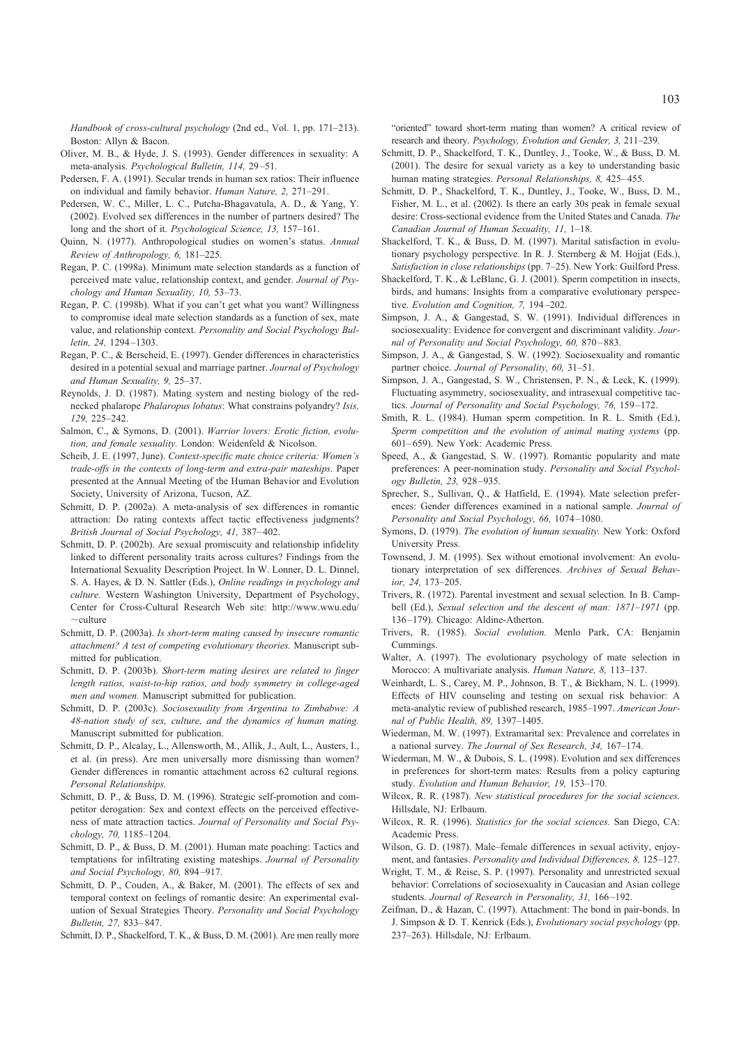*Handbook of cross-cultural psychology* (2nd ed., Vol. 1, pp. 171–213). Boston: Allyn & Bacon.

- Oliver, M. B., & Hyde, J. S. (1993). Gender differences in sexuality: A meta-analysis. *Psychological Bulletin, 114,* 29 –51.
- Pedersen, F. A. (1991). Secular trends in human sex ratios: Their influence on individual and family behavior. *Human Nature, 2,* 271–291.
- Pedersen, W. C., Miller, L. C., Putcha-Bhagavatula, A. D., & Yang, Y. (2002). Evolved sex differences in the number of partners desired? The long and the short of it. *Psychological Science, 13,* 157–161.
- Quinn, N. (1977). Anthropological studies on women's status. *Annual Review of Anthropology, 6,* 181–225.
- Regan, P. C. (1998a). Minimum mate selection standards as a function of perceived mate value, relationship context, and gender. *Journal of Psychology and Human Sexuality, 10,* 53–73.
- Regan, P. C. (1998b). What if you can't get what you want? Willingness to compromise ideal mate selection standards as a function of sex, mate value, and relationship context. *Personality and Social Psychology Bulletin, 24,* 1294 –1303.
- Regan, P. C., & Berscheid, E. (1997). Gender differences in characteristics desired in a potential sexual and marriage partner. *Journal of Psychology and Human Sexuality, 9,* 25–37.
- Reynolds, J. D. (1987). Mating system and nesting biology of the rednecked phalarope *Phalaropus lobatus*: What constrains polyandry? *Isis, 129,* 225–242.
- Salmon, C., & Symons, D. (2001). *Warrior lovers: Erotic fiction, evolution, and female sexuality.* London: Weidenfeld & Nicolson.
- Scheib, J. E. (1997, June). *Context-specific mate choice criteria: Women's trade-offs in the contexts of long-term and extra-pair mateships.* Paper presented at the Annual Meeting of the Human Behavior and Evolution Society, University of Arizona, Tucson, AZ.
- Schmitt, D. P. (2002a). A meta-analysis of sex differences in romantic attraction: Do rating contexts affect tactic effectiveness judgments? *British Journal of Social Psychology, 41,* 387– 402.
- Schmitt, D. P. (2002b). Are sexual promiscuity and relationship infidelity linked to different personality traits across cultures? Findings from the International Sexuality Description Project. In W. Lonner, D. L. Dinnel, S. A. Hayes, & D. N. Sattler (Eds.), *Online readings in psychology and culture.* Western Washington University, Department of Psychology, Center for Cross-Cultural Research Web site: http://www.wwu.edu/ -culture
- Schmitt, D. P. (2003a). *Is short-term mating caused by insecure romantic attachment? A test of competing evolutionary theories.* Manuscript submitted for publication.
- Schmitt, D. P. (2003b). *Short-term mating desires are related to finger length ratios, waist-to-hip ratios, and body symmetry in college-aged men and women.* Manuscript submitted for publication.
- Schmitt, D. P. (2003c). *Sociosexuality from Argentina to Zimbabwe: A 48-nation study of sex, culture, and the dynamics of human mating.* Manuscript submitted for publication.
- Schmitt, D. P., Alcalay, L., Allensworth, M., Allik, J., Ault, L., Austers, I., et al. (in press). Are men universally more dismissing than women? Gender differences in romantic attachment across 62 cultural regions. *Personal Relationships.*
- Schmitt, D. P., & Buss, D. M. (1996). Strategic self-promotion and competitor derogation: Sex and context effects on the perceived effectiveness of mate attraction tactics. *Journal of Personality and Social Psychology, 70,* 1185–1204.
- Schmitt, D. P., & Buss, D. M. (2001). Human mate poaching: Tactics and temptations for infiltrating existing mateships. *Journal of Personality and Social Psychology, 80,* 894 –917.
- Schmitt, D. P., Couden, A., & Baker, M. (2001). The effects of sex and temporal context on feelings of romantic desire: An experimental evaluation of Sexual Strategies Theory. *Personality and Social Psychology Bulletin, 27,* 833– 847.
- Schmitt, D. P., Shackelford, T. K., & Buss, D. M. (2001). Are men really more

"oriented" toward short-term mating than women? A critical review of research and theory. *Psychology, Evolution and Gender, 3,* 211–239.

- Schmitt, D. P., Shackelford, T. K., Duntley, J., Tooke, W., & Buss, D. M. (2001). The desire for sexual variety as a key to understanding basic human mating strategies. *Personal Relationships*, 8, 425-455.
- Schmitt, D. P., Shackelford, T. K., Duntley, J., Tooke, W., Buss, D. M., Fisher, M. L., et al. (2002). Is there an early 30s peak in female sexual desire: Cross-sectional evidence from the United States and Canada. *The Canadian Journal of Human Sexuality, 11,* 1–18.
- Shackelford, T. K., & Buss, D. M. (1997). Marital satisfaction in evolutionary psychology perspective. In R. J. Sternberg & M. Hojjat (Eds.), *Satisfaction in close relationships* (pp. 7–25). New York: Guilford Press.
- Shackelford, T. K., & LeBlanc, G. J. (2001). Sperm competition in insects, birds, and humans: Insights from a comparative evolutionary perspective. *Evolution and Cognition, 7,* 194 –202.
- Simpson, J. A., & Gangestad, S. W. (1991). Individual differences in sociosexuality: Evidence for convergent and discriminant validity. *Journal of Personality and Social Psychology, 60,* 870 – 883.
- Simpson, J. A., & Gangestad, S. W. (1992). Sociosexuality and romantic partner choice. *Journal of Personality, 60,* 31–51.
- Simpson, J. A., Gangestad, S. W., Christensen, P. N., & Leck, K. (1999). Fluctuating asymmetry, sociosexuality, and intrasexual competitive tactics. *Journal of Personality and Social Psychology, 76,* 159 –172.
- Smith, R. L. (1984). Human sperm competition. In R. L. Smith (Ed.), *Sperm competition and the evolution of animal mating systems* (pp. 601– 659). New York: Academic Press.
- Speed, A., & Gangestad, S. W. (1997). Romantic popularity and mate preferences: A peer-nomination study. *Personality and Social Psychology Bulletin, 23,* 928 –935.
- Sprecher, S., Sullivan, Q., & Hatfield, E. (1994). Mate selection preferences: Gender differences examined in a national sample. *Journal of Personality and Social Psychology, 66,* 1074 –1080.
- Symons, D. (1979). *The evolution of human sexuality.* New York: Oxford University Press.
- Townsend, J. M. (1995). Sex without emotional involvement: An evolutionary interpretation of sex differences. *Archives of Sexual Behavior, 24,* 173–205.
- Trivers, R. (1972). Parental investment and sexual selection. In B. Campbell (Ed.), *Sexual selection and the descent of man: 1871–1971* (pp. 136 –179). Chicago: Aldine-Atherton.
- Trivers, R. (1985). *Social evolution.* Menlo Park, CA: Benjamin Cummings.
- Walter, A. (1997). The evolutionary psychology of mate selection in Morocco: A multivariate analysis. *Human Nature, 8,* 113–137.
- Weinhardt, L. S., Carey, M. P., Johnson, B. T., & Bickham, N. L. (1999). Effects of HIV counseling and testing on sexual risk behavior: A meta-analytic review of published research, 1985–1997. *American Journal of Public Health, 89,* 1397–1405.
- Wiederman, M. W. (1997). Extramarital sex: Prevalence and correlates in a national survey. *The Journal of Sex Research, 34,* 167–174.
- Wiederman, M. W., & Dubois, S. L. (1998). Evolution and sex differences in preferences for short-term mates: Results from a policy capturing study. *Evolution and Human Behavior, 19,* 153–170.
- Wilcox, R. R. (1987). *New statistical procedures for the social sciences.* Hillsdale, NJ: Erlbaum.
- Wilcox, R. R. (1996). *Statistics for the social sciences.* San Diego, CA: Academic Press.
- Wilson, G. D. (1987). Male–female differences in sexual activity, enjoyment, and fantasies. *Personality and Individual Differences, 8,* 125–127.
- Wright, T. M., & Reise, S. P. (1997). Personality and unrestricted sexual behavior: Correlations of sociosexuality in Caucasian and Asian college students. *Journal of Research in Personality*, 31, 166-192.
- Zeifman, D., & Hazan, C. (1997). Attachment: The bond in pair-bonds. In J. Simpson & D. T. Kenrick (Eds.), *Evolutionary social psychology* (pp. 237–263). Hillsdale, NJ: Erlbaum.